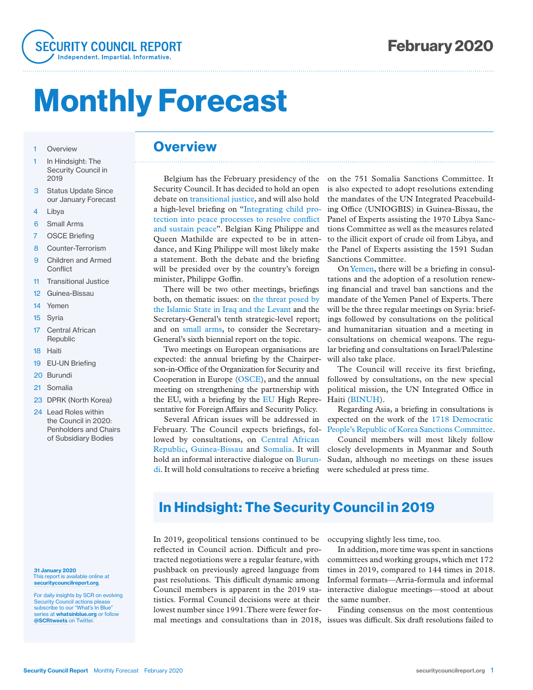

# Monthly Forecast

- 1 Overview
- 1 In Hindsight: The Security Council in 2019
- 3 Status Update Since our January Forecast
- 4 Libya
- 6 Small Arms
- 7 OSCE Briefing
- 8 Counter-Terrorism
- 9 Children and Armed **Conflict**
- 11 Transitional Justice
- 12 Guinea-Bissau
- 14 Yemen
- 15 Syria
- 17 Central African Republic
- 18 Haiti
- 19 EU-UN Briefing
- 20 Burundi
- 21 Somalia
- 23 DPRK (North Korea)
- 24 Lead Roles within the Council in 2020: Penholders and Chairs of Subsidiary Bodies

31 January 2020 This report is available online at securitycouncilreport.org.

For daily insights by SCR on evolving Security Council actions please subscribe to our "What's In Blue series at whatsinblue.org or follow @SCRtweets on Twitter.

### **Overview**

Belgium has the February presidency of the Security Council. It has decided to hold an open debate on transitional justice, and will also hold a high-level briefing on "Integrating child protection into peace processes to resolve conflict and sustain peace". Belgian King Philippe and Queen Mathilde are expected to be in attendance, and King Philippe will most likely make a statement. Both the debate and the briefing will be presided over by the country's foreign minister, Philippe Goffin.

There will be two other meetings, briefings both, on thematic issues: on the threat posed by the Islamic State in Iraq and the Levant and the Secretary-General's tenth strategic-level report; and on small arms, to consider the Secretary-General's sixth biennial report on the topic.

Two meetings on European organisations are expected: the annual briefing by the Chairperson-in-Office of the Organization for Security and Cooperation in Europe (OSCE), and the annual meeting on strengthening the partnership with the EU, with a briefing by the EU High Representative for Foreign Affairs and Security Policy.

Several African issues will be addressed in February. The Council expects briefings, followed by consultations, on Central African Republic, Guinea-Bissau and Somalia. It will hold an informal interactive dialogue on Burundi. It will hold consultations to receive a briefing

on the 751 Somalia Sanctions Committee. It is also expected to adopt resolutions extending the mandates of the UN Integrated Peacebuilding Office (UNIOGBIS) in Guinea-Bissau, the Panel of Experts assisting the 1970 Libya Sanctions Committee as well as the measures related to the illicit export of crude oil from Libya, and the Panel of Experts assisting the 1591 Sudan Sanctions Committee.

On Yemen, there will be a briefing in consultations and the adoption of a resolution renewing financial and travel ban sanctions and the mandate of the Yemen Panel of Experts. There will be the three regular meetings on Syria: briefings followed by consultations on the political and humanitarian situation and a meeting in consultations on chemical weapons. The regular briefing and consultations on Israel/Palestine will also take place.

The Council will receive its first briefing, followed by consultations, on the new special political mission, the UN Integrated Office in Haiti (BINUH).

Regarding Asia, a briefing in consultations is expected on the work of the 1718 Democratic People's Republic of Korea Sanctions Committee.

Council members will most likely follow closely developments in Myanmar and South Sudan, although no meetings on these issues were scheduled at press time.

### In Hindsight: The Security Council in 2019

In 2019, geopolitical tensions continued to be reflected in Council action. Difficult and protracted negotiations were a regular feature, with pushback on previously agreed language from past resolutions. This difficult dynamic among Council members is apparent in the 2019 statistics. Formal Council decisions were at their lowest number since 1991. There were fewer formal meetings and consultations than in 2018, issues was difficult. Six draft resolutions failed to

occupying slightly less time, too.

In addition, more time was spent in sanctions committees and working groups, which met 172 times in 2019, compared to 144 times in 2018. Informal formats—Arria-formula and informal interactive dialogue meetings—stood at about the same number.

Finding consensus on the most contentious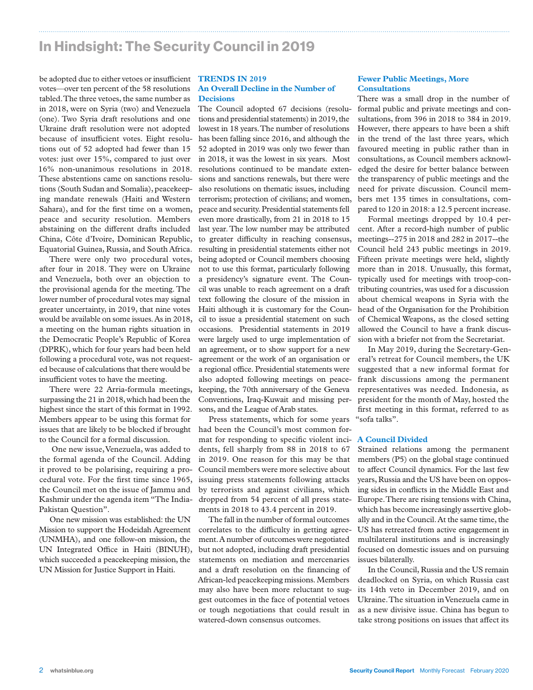### In Hindsight: The Security Council in 2019

be adopted due to either vetoes or insufficient **TRENDS IN 2019** votes—over ten percent of the 58 resolutions tabled. The three vetoes, the same number as in 2018, were on Syria (two) and Venezuela (one). Two Syria draft resolutions and one Ukraine draft resolution were not adopted because of insufficient votes. Eight resolutions out of 52 adopted had fewer than 15 votes: just over 15%, compared to just over 16% non-unanimous resolutions in 2018. These abstentions came on sanctions resolutions (South Sudan and Somalia), peacekeeping mandate renewals (Haiti and Western Sahara), and for the first time on a women, peace and security resolution. Members abstaining on the different drafts included China, Côte d'Ivoire, Dominican Republic, Equatorial Guinea, Russia, and South Africa.

There were only two procedural votes, after four in 2018. They were on Ukraine and Venezuela, both over an objection to the provisional agenda for the meeting. The lower number of procedural votes may signal greater uncertainty, in 2019, that nine votes would be available on some issues. As in 2018, a meeting on the human rights situation in the Democratic People's Republic of Korea (DPRK), which for four years had been held following a procedural vote, was not requested because of calculations that there would be insufficient votes to have the meeting.

There were 22 Arria-formula meetings, surpassing the 21 in 2018, which had been the highest since the start of this format in 1992. Members appear to be using this format for issues that are likely to be blocked if brought to the Council for a formal discussion.

 One new issue, Venezuela, was added to the formal agenda of the Council. Adding it proved to be polarising, requiring a procedural vote. For the first time since 1965, the Council met on the issue of Jammu and Kashmir under the agenda item "The India-Pakistan Question".

One new mission was established: the UN Mission to support the Hodeidah Agreement (UNMHA), and one follow-on mission, the UN Integrated Office in Haiti (BINUH), which succeeded a peacekeeping mission, the UN Mission for Justice Support in Haiti.

### **An Overall Decline in the Number of Decisions**

The Council adopted 67 decisions (resolutions and presidential statements) in 2019, the lowest in 18 years. The number of resolutions has been falling since 2016, and although the 52 adopted in 2019 was only two fewer than in 2018, it was the lowest in six years. Most resolutions continued to be mandate extensions and sanctions renewals, but there were also resolutions on thematic issues, including terrorism; protection of civilians; and women, peace and security. Presidential statements fell even more drastically, from 21 in 2018 to 15 last year. The low number may be attributed to greater difficulty in reaching consensus, resulting in presidential statements either not being adopted or Council members choosing not to use this format, particularly following a presidency's signature event. The Council was unable to reach agreement on a draft text following the closure of the mission in Haiti although it is customary for the Council to issue a presidential statement on such occasions. Presidential statements in 2019 were largely used to urge implementation of an agreement, or to show support for a new agreement or the work of an organisation or a regional office. Presidential statements were also adopted following meetings on peacekeeping, the 70th anniversary of the Geneva Conventions, Iraq-Kuwait and missing persons, and the League of Arab states.

Press statements, which for some years had been the Council's most common format for responding to specific violent incidents, fell sharply from 88 in 2018 to 67 in 2019. One reason for this may be that Council members were more selective about issuing press statements following attacks by terrorists and against civilians, which dropped from 54 percent of all press statements in 2018 to 43.4 percent in 2019.

The fall in the number of formal outcomes correlates to the difficulty in getting agreement. A number of outcomes were negotiated but not adopted, including draft presidential statements on mediation and mercenaries and a draft resolution on the financing of African-led peacekeeping missions. Members may also have been more reluctant to suggest outcomes in the face of potential vetoes or tough negotiations that could result in watered-down consensus outcomes.

### **Fewer Public Meetings, More Consultations**

There was a small drop in the number of formal public and private meetings and consultations, from 396 in 2018 to 384 in 2019. However, there appears to have been a shift in the trend of the last three years, which favoured meeting in public rather than in consultations, as Council members acknowledged the desire for better balance between the transparency of public meetings and the need for private discussion. Council members met 135 times in consultations, compared to 120 in 2018: a 12.5 percent increase.

Formal meetings dropped by 10.4 percent. After a record-high number of public meetings--275 in 2018 and 282 in 2017--the Council held 243 public meetings in 2019. Fifteen private meetings were held, slightly more than in 2018. Unusually, this format, typically used for meetings with troop-contributing countries, was used for a discussion about chemical weapons in Syria with the head of the Organisation for the Prohibition of Chemical Weapons, as the closed setting allowed the Council to have a frank discussion with a briefer not from the Secretariat.

In May 2019, during the Secretary-General's retreat for Council members, the UK suggested that a new informal format for frank discussions among the permanent representatives was needed. Indonesia, as president for the month of May, hosted the first meeting in this format, referred to as "sofa talks".

#### **A Council Divided**

Strained relations among the permanent members (P5) on the global stage continued to affect Council dynamics. For the last few years, Russia and the US have been on opposing sides in conflicts in the Middle East and Europe. There are rising tensions with China, which has become increasingly assertive globally and in the Council. At the same time, the US has retreated from active engagement in multilateral institutions and is increasingly focused on domestic issues and on pursuing issues bilaterally.

In the Council, Russia and the US remain deadlocked on Syria, on which Russia cast its 14th veto in December 2019, and on Ukraine. The situation in Venezuela came in as a new divisive issue. China has begun to take strong positions on issues that affect its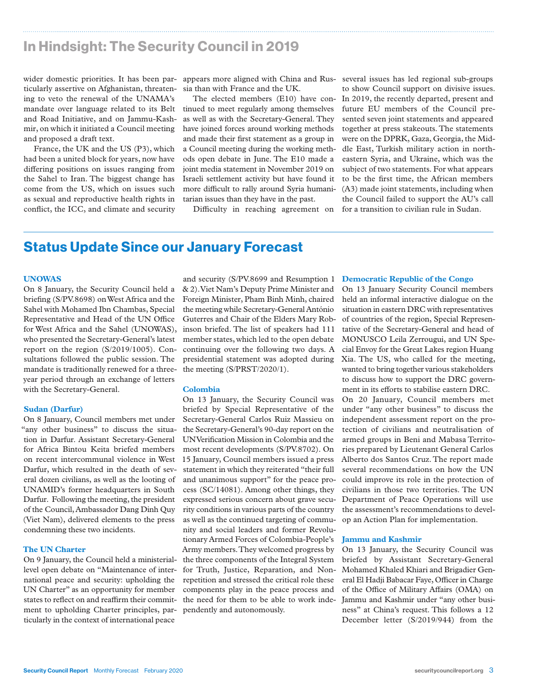### In Hindsight: The Security Council in 2019

wider domestic priorities. It has been par- appears more aligned with China and Rus- several issues has led regional sub-groups ticularly assertive on Afghanistan, threatening to veto the renewal of the UNAMA's mandate over language related to its Belt and Road Initiative, and on Jammu-Kashmir, on which it initiated a Council meeting and proposed a draft text.

France, the UK and the US (P3), which had been a united block for years, now have differing positions on issues ranging from the Sahel to Iran. The biggest change has come from the US, which on issues such as sexual and reproductive health rights in conflict, the ICC, and climate and security sia than with France and the UK.

The elected members (E10) have continued to meet regularly among themselves as well as with the Secretary-General. They have joined forces around working methods and made their first statement as a group in a Council meeting during the working methods open debate in June. The E10 made a joint media statement in November 2019 on Israeli settlement activity but have found it more difficult to rally around Syria humanitarian issues than they have in the past.

Difficulty in reaching agreement on

to show Council support on divisive issues. In 2019, the recently departed, present and future EU members of the Council presented seven joint statements and appeared together at press stakeouts. The statements were on the DPRK, Gaza, Georgia, the Middle East, Turkish military action in northeastern Syria, and Ukraine, which was the subject of two statements. For what appears to be the first time, the African members (A3) made joint statements, including when the Council failed to support the AU's call for a transition to civilian rule in Sudan.

### Status Update Since our January Forecast

#### **UNOWAS**

On 8 January, the Security Council held a briefing (S/PV.8698) on West Africa and the Sahel with Mohamed Ibn Chambas, Special Representative and Head of the UN Office for West Africa and the Sahel (UNOWAS), who presented the Secretary-General's latest report on the region (S/2019/1005). Consultations followed the public session. The mandate is traditionally renewed for a threeyear period through an exchange of letters with the Secretary-General.

#### **Sudan (Darfur)**

On 8 January, Council members met under "any other business" to discuss the situation in Darfur. Assistant Secretary-General for Africa Bintou Keita briefed members on recent intercommunal violence in West Darfur, which resulted in the death of several dozen civilians, as well as the looting of UNAMID's former headquarters in South Darfur. Following the meeting, the president of the Council, Ambassador Dang Dinh Quy (Viet Nam), delivered elements to the press condemning these two incidents.

#### **The UN Charter**

On 9 January, the Council held a ministeriallevel open debate on "Maintenance of international peace and security: upholding the UN Charter" as an opportunity for member states to reflect on and reaffirm their commitment to upholding Charter principles, particularly in the context of international peace

and security (S/PV.8699 and Resumption 1 & 2). Viet Nam's Deputy Prime Minister and Foreign Minister, Pham Binh Minh, chaired the meeting while Secretary-General António Guterres and Chair of the Elders Mary Robinson briefed. The list of speakers had 111 member states, which led to the open debate continuing over the following two days. A presidential statement was adopted during the meeting (S/PRST/2020/1).

#### **Colombia**

On 13 January, the Security Council was briefed by Special Representative of the Secretary-General Carlos Ruiz Massieu on the Secretary-General's 90-day report on the UN Verification Mission in Colombia and the most recent developments (S/PV.8702). On 15 January, Council members issued a press statement in which they reiterated "their full and unanimous support" for the peace process (SC/14081). Among other things, they expressed serious concern about grave security conditions in various parts of the country as well as the continued targeting of community and social leaders and former Revolutionary Armed Forces of Colombia-People's Army members. They welcomed progress by the three components of the Integral System for Truth, Justice, Reparation, and Nonrepetition and stressed the critical role these components play in the peace process and the need for them to be able to work independently and autonomously.

#### **Democratic Republic of the Congo**

On 13 January Security Council members held an informal interactive dialogue on the situation in eastern DRC with representatives of countries of the region, Special Representative of the Secretary-General and head of MONUSCO Leila Zerrougui, and UN Special Envoy for the Great Lakes region Huang Xia. The US, who called for the meeting, wanted to bring together various stakeholders to discuss how to support the DRC government in its efforts to stabilise eastern DRC. On 20 January, Council members met under "any other business" to discuss the independent assessment report on the protection of civilians and neutralisation of armed groups in Beni and Mabasa Territories prepared by Lieutenant General Carlos Alberto dos Santos Cruz. The report made several recommendations on how the UN could improve its role in the protection of civilians in those two territories. The UN Department of Peace Operations will use the assessment's recommendations to develop an Action Plan for implementation.

#### **Jammu and Kashmir**

On 13 January, the Security Council was briefed by Assistant Secretary-General Mohamed Khaled Khiari and Brigadier General El Hadji Babacar Faye, Officer in Charge of the Office of Military Affairs (OMA) on Jammu and Kashmir under "any other business" at China's request. This follows a 12 December letter (S/2019/944) from the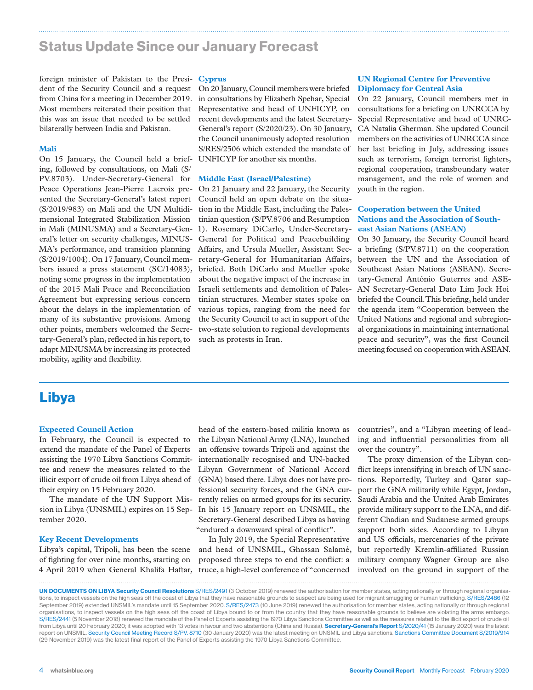### Status Update Since our January Forecast

foreign minister of Pakistan to the Presi-**Cyprus** dent of the Security Council and a request from China for a meeting in December 2019. Most members reiterated their position that this was an issue that needed to be settled bilaterally between India and Pakistan.

#### **Mali**

On 15 January, the Council held a briefing, followed by consultations, on Mali (S/ PV.8703). Under-Secretary-General for Peace Operations Jean-Pierre Lacroix presented the Secretary-General's latest report (S/2019/983) on Mali and the UN Multidimensional Integrated Stabilization Mission in Mali (MINUSMA) and a Secretary-General's letter on security challenges, MINUS-MA's performance, and transition planning (S/2019/1004). On 17 January, Council members issued a press statement (SC/14083), noting some progress in the implementation of the 2015 Mali Peace and Reconciliation Agreement but expressing serious concern about the delays in the implementation of many of its substantive provisions. Among other points, members welcomed the Secretary-General's plan, reflected in his report, to adapt MINUSMA by increasing its protected mobility, agility and flexibility.

On 20 January, Council members were briefed in consultations by Elizabeth Spehar, Special Representative and head of UNFICYP, on recent developments and the latest Secretary-General's report (S/2020/23). On 30 January, the Council unanimously adopted resolution S/RES/2506 which extended the mandate of UNFICYP for another six months.

#### **Middle East (Israel/Palestine)**

On 21 January and 22 January, the Security Council held an open debate on the situation in the Middle East, including the Palestinian question (S/PV.8706 and Resumption 1). Rosemary DiCarlo, Under-Secretary-General for Political and Peacebuilding Affairs, and Ursula Mueller, Assistant Secretary-General for Humanitarian Affairs, briefed. Both DiCarlo and Mueller spoke about the negative impact of the increase in Israeli settlements and demolition of Palestinian structures. Member states spoke on various topics, ranging from the need for the Security Council to act in support of the two-state solution to regional developments such as protests in Iran.

#### **UN Regional Centre for Preventive Diplomacy for Central Asia**

On 22 January, Council members met in consultations for a briefing on UNRCCA by Special Representative and head of UNRC-CA Natalia Gherman. She updated Council members on the activities of UNRCCA since her last briefing in July, addressing issues such as terrorism, foreign terrorist fighters, regional cooperation, transboundary water management, and the role of women and youth in the region.

#### **Cooperation between the United Nations and the Association of Southeast Asian Nations (ASEAN)**

On 30 January, the Security Council heard a briefing (S/PV.8711) on the cooperation between the UN and the Association of Southeast Asian Nations (ASEAN). Secretary-General António Guterres and ASE-AN Secretary-General Dato Lim Jock Hoi briefed the Council. This briefing, held under the agenda item "Cooperation between the United Nations and regional and subregional organizations in maintaining international peace and security", was the first Council meeting focused on cooperation with ASEAN.

### Libya

#### **Expected Council Action**

In February, the Council is expected to extend the mandate of the Panel of Experts assisting the 1970 Libya Sanctions Committee and renew the measures related to the illicit export of crude oil from Libya ahead of their expiry on 15 February 2020.

sion in Libya (UNSMIL) expires on 15 September 2020.

#### **Key Recent Developments**

Libya's capital, Tripoli, has been the scene of fighting for over nine months, starting on 4 April 2019 when General Khalifa Haftar,

The mandate of the UN Support Mis- rently relies on armed groups for its security. head of the eastern-based militia known as the Libyan National Army (LNA), launched an offensive towards Tripoli and against the internationally recognised and UN-backed Libyan Government of National Accord (GNA) based there. Libya does not have professional security forces, and the GNA cur-In his 15 January report on UNSMIL, the Secretary-General described Libya as having "endured a downward spiral of conflict".

> In July 2019, the Special Representative and head of UNSMIL, Ghassan Salamé, proposed three steps to end the conflict: a truce, a high-level conference of "concerned

countries", and a "Libyan meeting of leading and influential personalities from all over the country".

The proxy dimension of the Libyan conflict keeps intensifying in breach of UN sanctions. Reportedly, Turkey and Qatar support the GNA militarily while Egypt, Jordan, Saudi Arabia and the United Arab Emirates provide military support to the LNA, and different Chadian and Sudanese armed groups support both sides. According to Libyan and US officials, mercenaries of the private but reportedly Kremlin-affiliated Russian military company Wagner Group are also involved on the ground in support of the

UN DOCUMENTS ON LIBYA Security Council Resolutions S/RES/2491 (3 October 2019) renewed the authorisation for member states, acting nationally or through regional organisations, to inspect vessels on the high seas off the coast of Libya that they have reasonable grounds to suspect are being used for migrant smuggling or human trafficking. S/RES/2486 (12 September 2019) extended UNSMIL's mandate until 15 September 2020. S/RES/2473 (10 June 2019) renewed the authorisation for member states, acting nationally or through regional organisations, to inspect vessels on the high seas off the coast of Libya bound to or from the country that they have reasonable grounds to believe are violating the arms embargo. S/RES/2441 (5 November 2018) renewed the mandate of the Panel of Experts assisting the 1970 Libya Sanctions Committee as well as the measures related to the illicit export of crude oil from Libya until 20 February 2020; it was adopted with 13 votes in favour and two abstentions (China and Russia). Secretary-General's Report S/2020/41 (15 January 2020) was the latest report on UNSMIL. Security Council Meeting Record S/PV. 8710 (30 January 2020) was the latest meeting on UNSMIL and Libya sanctions. Sanctions Committee Document S/2019/914 (29 November 2019) was the latest final report of the Panel of Experts assisting the 1970 Libya Sanctions Committee.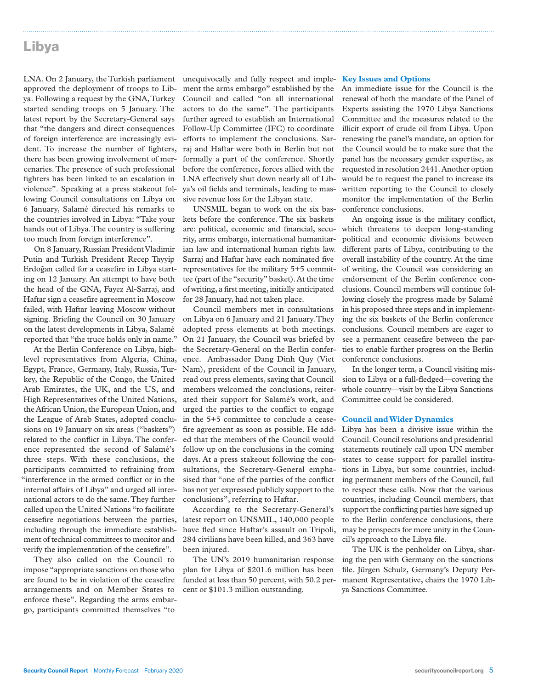### Libya

LNA. On 2 January, the Turkish parliament approved the deployment of troops to Libya. Following a request by the GNA, Turkey started sending troops on 5 January. The latest report by the Secretary-General says that "the dangers and direct consequences of foreign interference are increasingly evident. To increase the number of fighters, there has been growing involvement of mercenaries. The presence of such professional fighters has been linked to an escalation in violence". Speaking at a press stakeout following Council consultations on Libya on 6 January, Salamé directed his remarks to the countries involved in Libya: "Take your hands out of Libya. The country is suffering too much from foreign interference".

On 8 January, Russian President Vladimir Putin and Turkish President Recep Tayyip Erdoğan called for a ceasefire in Libya starting on 12 January. An attempt to have both the head of the GNA, Fayez Al-Sarraj, and Haftar sign a ceasefire agreement in Moscow failed, with Haftar leaving Moscow without signing. Briefing the Council on 30 January on the latest developments in Libya, Salamé reported that "the truce holds only in name."

At the Berlin Conference on Libya, highlevel representatives from Algeria, China, Egypt, France, Germany, Italy, Russia, Turkey, the Republic of the Congo, the United Arab Emirates, the UK, and the US, and High Representatives of the United Nations, the African Union, the European Union, and the League of Arab States, adopted conclusions on 19 January on six areas ("baskets") related to the conflict in Libya. The conference represented the second of Salamé's three steps. With these conclusions, the participants committed to refraining from "interference in the armed conflict or in the internal affairs of Libya" and urged all international actors to do the same. They further called upon the United Nations "to facilitate ceasefire negotiations between the parties, including through the immediate establishment of technical committees to monitor and verify the implementation of the ceasefire".

They also called on the Council to impose "appropriate sanctions on those who are found to be in violation of the ceasefire arrangements and on Member States to enforce these". Regarding the arms embargo, participants committed themselves "to

unequivocally and fully respect and imple-**Key Issues and Options** ment the arms embargo" established by the Council and called "on all international actors to do the same". The participants further agreed to establish an International Follow-Up Committee (IFC) to coordinate efforts to implement the conclusions. Sarraj and Haftar were both in Berlin but not formally a part of the conference. Shortly before the conference, forces allied with the LNA effectively shut down nearly all of Libya's oil fields and terminals, leading to massive revenue loss for the Libyan state.

UNSMIL began to work on the six baskets before the conference. The six baskets are: political, economic and financial, security, arms embargo, international humanitarian law and international human rights law. Sarraj and Haftar have each nominated five representatives for the military 5+5 committee (part of the "security" basket). At the time of writing, a first meeting, initially anticipated for 28 January, had not taken place.

Council members met in consultations on Libya on 6 January and 21 January. They adopted press elements at both meetings. On 21 January, the Council was briefed by the Secretary-General on the Berlin conference. Ambassador Dang Dinh Quy (Viet Nam), president of the Council in January, read out press elements, saying that Council members welcomed the conclusions, reiterated their support for Salamé's work, and urged the parties to the conflict to engage in the 5+5 committee to conclude a ceasefire agreement as soon as possible. He added that the members of the Council would follow up on the conclusions in the coming days. At a press stakeout following the consultations, the Secretary-General emphasised that "one of the parties of the conflict has not yet expressed publicly support to the conclusions", referring to Haftar.

According to the Secretary-General's latest report on UNSMIL, 140,000 people have fled since Haftar's assault on Tripoli, 284 civilians have been killed, and 363 have been injured.

The UN's 2019 humanitarian response plan for Libya of \$201.6 million has been funded at less than 50 percent, with 50.2 percent or \$101.3 million outstanding.

An immediate issue for the Council is the renewal of both the mandate of the Panel of Experts assisting the 1970 Libya Sanctions Committee and the measures related to the illicit export of crude oil from Libya. Upon renewing the panel's mandate, an option for the Council would be to make sure that the panel has the necessary gender expertise, as requested in resolution 2441. Another option would be to request the panel to increase its written reporting to the Council to closely monitor the implementation of the Berlin conference conclusions.

An ongoing issue is the military conflict, which threatens to deepen long-standing political and economic divisions between different parts of Libya, contributing to the overall instability of the country. At the time of writing, the Council was considering an endorsement of the Berlin conference conclusions. Council members will continue following closely the progress made by Salamé in his proposed three steps and in implementing the six baskets of the Berlin conference conclusions. Council members are eager to see a permanent ceasefire between the parties to enable further progress on the Berlin conference conclusions.

In the longer term, a Council visiting mission to Libya or a full-fledged—covering the whole country—visit by the Libya Sanctions Committee could be considered.

#### **Council and Wider Dynamics**

Libya has been a divisive issue within the Council. Council resolutions and presidential statements routinely call upon UN member states to cease support for parallel institutions in Libya, but some countries, including permanent members of the Council, fail to respect these calls. Now that the various countries, including Council members, that support the conflicting parties have signed up to the Berlin conference conclusions, there may be prospects for more unity in the Council's approach to the Libya file.

The UK is the penholder on Libya, sharing the pen with Germany on the sanctions file. Jürgen Schulz, Germany's Deputy Permanent Representative, chairs the 1970 Libya Sanctions Committee.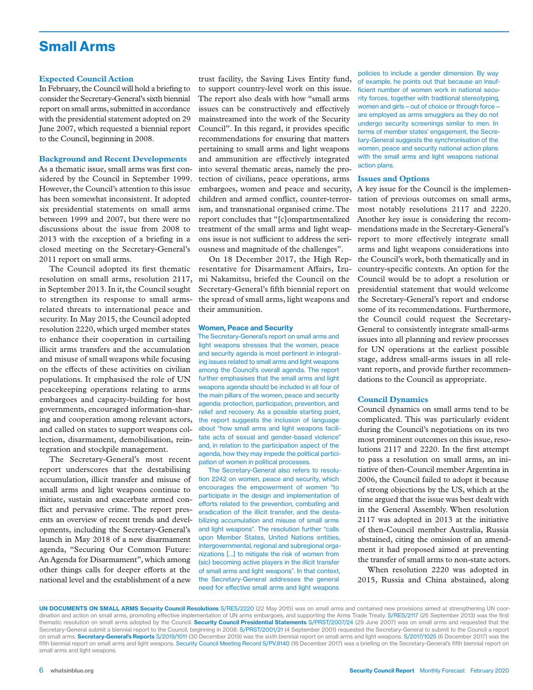### Small Arms

#### **Expected Council Action**

In February, the Council will hold a briefing to consider the Secretary-General's sixth biennial report on small arms, submitted in accordance with the presidential statement adopted on 29 June 2007, which requested a biennial report to the Council, beginning in 2008.

#### **Background and Recent Developments**

As a thematic issue, small arms was first considered by the Council in September 1999. However, the Council's attention to this issue has been somewhat inconsistent. It adopted six presidential statements on small arms between 1999 and 2007, but there were no discussions about the issue from 2008 to 2013 with the exception of a briefing in a closed meeting on the Secretary-General's 2011 report on small arms.

The Council adopted its first thematic resolution on small arms, resolution 2117, in September 2013. In it, the Council sought to strengthen its response to small armsrelated threats to international peace and security. In May 2015, the Council adopted resolution 2220, which urged member states to enhance their cooperation in curtailing illicit arms transfers and the accumulation and misuse of small weapons while focusing on the effects of these activities on civilian populations. It emphasised the role of UN peacekeeping operations relating to arms embargoes and capacity-building for host governments, encouraged information-sharing and cooperation among relevant actors, and called on states to support weapons collection, disarmament, demobilisation, reintegration and stockpile management.

The Secretary-General's most recent report underscores that the destabilising accumulation, illicit transfer and misuse of small arms and light weapons continue to initiate, sustain and exacerbate armed conflict and pervasive crime. The report presents an overview of recent trends and developments, including the Secretary-General's launch in May 2018 of a new disarmament agenda, "Securing Our Common Future: An Agenda for Disarmament", which among other things calls for deeper efforts at the national level and the establishment of a new

trust facility, the Saving Lives Entity fund, to support country-level work on this issue. The report also deals with how "small arms issues can be constructively and effectively mainstreamed into the work of the Security Council". In this regard, it provides specific recommendations for ensuring that matters pertaining to small arms and light weapons and ammunition are effectively integrated into several thematic areas, namely the protection of civilians, peace operations, arms embargoes, women and peace and security, children and armed conflict, counter-terrorism, and transnational organised crime. The report concludes that "[c]ompartmentalized treatment of the small arms and light weapons issue is not sufficient to address the seriousness and magnitude of the challenges".

On 18 December 2017, the High Representative for Disarmament Affairs, Izumi Nakamitsu, briefed the Council on the Secretary-General's fifth biennial report on the spread of small arms, light weapons and their ammunition.

#### Women, Peace and Security

The Secretary-General's report on small arms and light weapons stresses that the women, peace and security agenda is most pertinent in integrating issues related to small arms and light weapons among the Council's overall agenda. The report further emphasises that the small arms and light weapons agenda should be included in all four of the main pillars of the women, peace and security agenda: protection, participation, prevention, and relief and recovery. As a possible starting point, the report suggests the inclusion of language about "how small arms and light weapons facilitate acts of sexual and gender-based violence" and, in relation to the participation aspect of the agenda, how they may impede the political participation of women in political processes.

The Secretary-General also refers to resolution 2242 on women, peace and security, which encourages the empowerment of women "to participate in the design and implementation of efforts related to the prevention, combating and eradication of the illicit transfer, and the destabilizing accumulation and misuse of small arms and light weapons". The resolution further "calls upon Member States, United Nations entities, intergovernmental, regional and subregional organizations […] to mitigate the risk of women from (sic) becoming active players in the illicit transfer of small arms and light weapons". In that context, the Secretary-General addresses the general need for effective small arms and light weapons

policies to include a gender dimension. By way of example, he points out that because an insufficient number of women work in national security forces, together with traditional stereotyping, women and girls—out of choice or through force are employed as arms smugglers as they do not undergo security screenings similar to men. In terms of member states' engagement, the Secretary-General suggests the synchronisation of the women, peace and security national action plans with the small arms and light weapons national action plans.

#### **Issues and Options**

A key issue for the Council is the implementation of previous outcomes on small arms, most notably resolutions 2117 and 2220. Another key issue is considering the recommendations made in the Secretary-General's report to more effectively integrate small arms and light weapons considerations into the Council's work, both thematically and in country-specific contexts. An option for the Council would be to adopt a resolution or presidential statement that would welcome the Secretary-General's report and endorse some of its recommendations. Furthermore, the Council could request the Secretary-General to consistently integrate small-arms issues into all planning and review processes for UN operations at the earliest possible stage, address small-arms issues in all relevant reports, and provide further recommendations to the Council as appropriate.

#### **Council Dynamics**

Council dynamics on small arms tend to be complicated. This was particularly evident during the Council's negotiations on its two most prominent outcomes on this issue, resolutions 2117 and 2220. In the first attempt to pass a resolution on small arms, an initiative of then-Council member Argentina in 2006, the Council failed to adopt it because of strong objections by the US, which at the time argued that the issue was best dealt with in the General Assembly. When resolution 2117 was adopted in 2013 at the initiative of then-Council member Australia, Russia abstained, citing the omission of an amendment it had proposed aimed at preventing the transfer of small arms to non-state actors.

When resolution 2220 was adopted in 2015, Russia and China abstained, along

UN DOCUMENTS ON SMALL ARMS Security Council Resolutions S/RES/2220 (22 May 2015) was on small arms and contained new provisions aimed at strengthening UN coordination and action on small arms, promoting effective implementation of UN arms embargoes, and supporting the Arms Trade Treaty. S/RES/2117 (26 September 2013) was the first thematic resolution on small arms adopted by the Council. Security Council Presidential Statements S/PRST/2007/24 (29 June 2007) was on small arms and requested that the Secretary-General submit a biennial report to the Council, beginning in 2008. S/PRST/2001/21 (4 September 2001) requested the Secretary-General to submit to the Council a report on small arms. Secretary-General's Reports S/2019/1011 (30 December 2019) was the sixth biennial report on small arms and light weapons. S/2017/1025 (6 December 2017) was the fifth biennial report on small arms and light weapons. Security Council Meeting Record S/PV.8140 (18 December 2017) was a briefing on the Secretary-General's fifth biennial report on small arms and light weapons.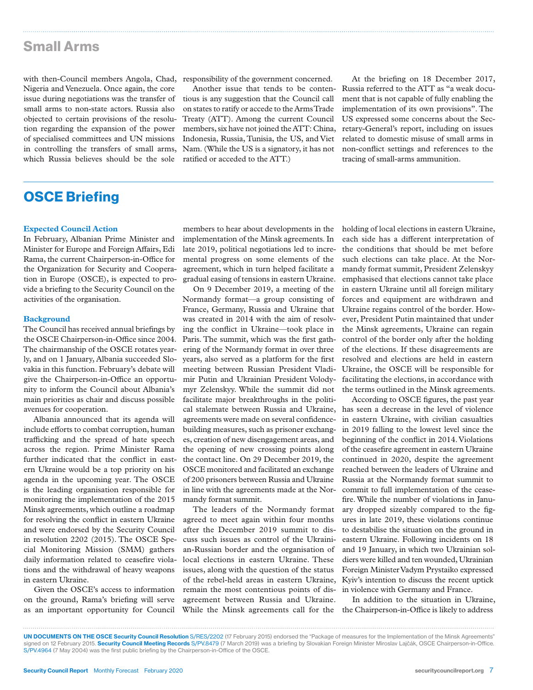### Small Arms

with then-Council members Angola, Chad, responsibility of the government concerned. Nigeria and Venezuela. Once again, the core issue during negotiations was the transfer of small arms to non-state actors. Russia also objected to certain provisions of the resolution regarding the expansion of the power of specialised committees and UN missions in controlling the transfers of small arms, which Russia believes should be the sole

Another issue that tends to be contentious is any suggestion that the Council call on states to ratify or accede to the Arms Trade Treaty (ATT). Among the current Council members, six have not joined the ATT: China, Indonesia, Russia, Tunisia, the US, and Viet Nam. (While the US is a signatory, it has not ratified or acceded to the ATT.)

At the briefing on 18 December 2017, Russia referred to the ATT as "a weak document that is not capable of fully enabling the implementation of its own provisions". The US expressed some concerns about the Secretary-General's report, including on issues related to domestic misuse of small arms in non-conflict settings and references to the tracing of small-arms ammunition.

### OSCE Briefing

#### **Expected Council Action**

In February, Albanian Prime Minister and Minister for Europe and Foreign Affairs, Edi Rama, the current Chairperson-in-Office for the Organization for Security and Cooperation in Europe (OSCE), is expected to provide a briefing to the Security Council on the activities of the organisation.

#### **Background**

The Council has received annual briefings by the OSCE Chairperson-in-Office since 2004. The chairmanship of the OSCE rotates yearly, and on 1 January, Albania succeeded Slovakia in this function. February's debate will give the Chairperson-in-Office an opportunity to inform the Council about Albania's main priorities as chair and discuss possible avenues for cooperation.

Albania announced that its agenda will include efforts to combat corruption, human trafficking and the spread of hate speech across the region. Prime Minister Rama further indicated that the conflict in eastern Ukraine would be a top priority on his agenda in the upcoming year. The OSCE is the leading organisation responsible for monitoring the implementation of the 2015 Minsk agreements, which outline a roadmap for resolving the conflict in eastern Ukraine and were endorsed by the Security Council in resolution 2202 (2015). The OSCE Special Monitoring Mission (SMM) gathers daily information related to ceasefire violations and the withdrawal of heavy weapons in eastern Ukraine.

Given the OSCE's access to information on the ground, Rama's briefing will serve as an important opportunity for Council

members to hear about developments in the implementation of the Minsk agreements. In late 2019, political negotiations led to incremental progress on some elements of the agreement, which in turn helped facilitate a gradual easing of tensions in eastern Ukraine.

On 9 December 2019, a meeting of the Normandy format—a group consisting of France, Germany, Russia and Ukraine that was created in 2014 with the aim of resolving the conflict in Ukraine—took place in Paris. The summit, which was the first gathering of the Normandy format in over three years, also served as a platform for the first meeting between Russian President Vladimir Putin and Ukrainian President Volodymyr Zelenskyy. While the summit did not facilitate major breakthroughs in the political stalemate between Russia and Ukraine, agreements were made on several confidencebuilding measures, such as prisoner exchanges, creation of new disengagement areas, and the opening of new crossing points along the contact line. On 29 December 2019, the OSCE monitored and facilitated an exchange of 200 prisoners between Russia and Ukraine in line with the agreements made at the Normandy format summit.

The leaders of the Normandy format agreed to meet again within four months after the December 2019 summit to discuss such issues as control of the Ukrainian-Russian border and the organisation of local elections in eastern Ukraine. These issues, along with the question of the status of the rebel-held areas in eastern Ukraine, remain the most contentious points of disagreement between Russia and Ukraine. While the Minsk agreements call for the

holding of local elections in eastern Ukraine, each side has a different interpretation of the conditions that should be met before such elections can take place. At the Normandy format summit, President Zelenskyy emphasised that elections cannot take place in eastern Ukraine until all foreign military forces and equipment are withdrawn and Ukraine regains control of the border. However, President Putin maintained that under the Minsk agreements, Ukraine can regain control of the border only after the holding of the elections. If these disagreements are resolved and elections are held in eastern Ukraine, the OSCE will be responsible for facilitating the elections, in accordance with the terms outlined in the Minsk agreements.

According to OSCE figures, the past year has seen a decrease in the level of violence in eastern Ukraine, with civilian casualties in 2019 falling to the lowest level since the beginning of the conflict in 2014. Violations of the ceasefire agreement in eastern Ukraine continued in 2020, despite the agreement reached between the leaders of Ukraine and Russia at the Normandy format summit to commit to full implementation of the ceasefire. While the number of violations in January dropped sizeably compared to the figures in late 2019, these violations continue to destabilise the situation on the ground in eastern Ukraine. Following incidents on 18 and 19 January, in which two Ukrainian soldiers were killed and ten wounded, Ukrainian Foreign Minister Vadym Prystaiko expressed Kyiv's intention to discuss the recent uptick in violence with Germany and France.

In addition to the situation in Ukraine, the Chairperson-in-Office is likely to address

UN DOCUMENTS ON THE OSCE Security Council Resolution S/RES/2202 (17 February 2015) endorsed the "Package of measures for the Implementation of the Minsk Agreements" signed on 12 February 2015. Security Council Meeting Records S/PV.8479 (7 March 2019) was a briefing by Slovakian Foreign Minister Miroslav Lajčák, OSCE Chairperson-in-Office. S/PV.4964 (7 May 2004) was the first public briefing by the Chairperson-in-Office of the OSCE.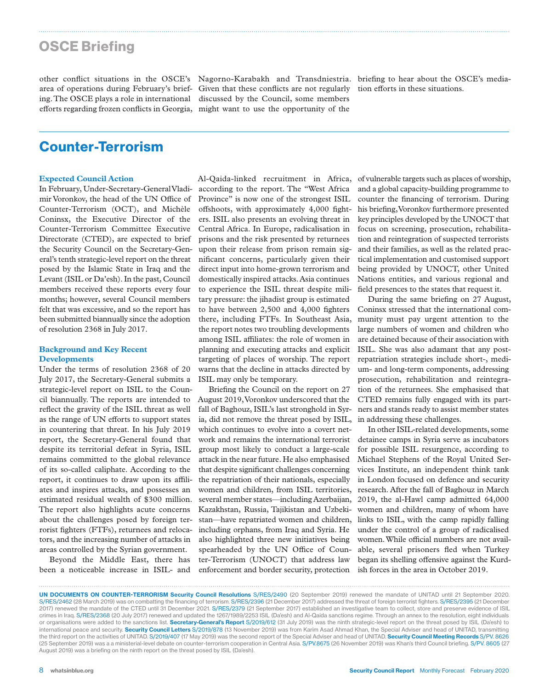### OSCE Briefing

ing. The OSCE plays a role in international efforts regarding frozen conflicts in Georgia, might want to use the opportunity of the

other conflict situations in the OSCE's Nagorno-Karabakh and Transdniestria. briefing to hear about the OSCE's mediaarea of operations during February's brief-Given that these conflicts are not regularly tion efforts in these situations. discussed by the Council, some members

### Counter-Terrorism

#### **Expected Council Action**

In February, Under-Secretary-General Vladimir Voronkov, the head of the UN Office of Counter-Terrorism (OCT), and Michèle Coninsx, the Executive Director of the Counter-Terrorism Committee Executive Directorate (CTED), are expected to brief the Security Council on the Secretary-General's tenth strategic-level report on the threat posed by the Islamic State in Iraq and the Levant (ISIL or Da'esh). In the past, Council members received these reports every four months; however, several Council members felt that was excessive, and so the report has been submitted biannually since the adoption of resolution 2368 in July 2017.

#### **Background and Key Recent Developments**

Under the terms of resolution 2368 of 20 July 2017, the Secretary-General submits a strategic-level report on ISIL to the Council biannually. The reports are intended to reflect the gravity of the ISIL threat as well as the range of UN efforts to support states in countering that threat. In his July 2019 report, the Secretary-General found that despite its territorial defeat in Syria, ISIL remains committed to the global relevance of its so-called caliphate. According to the report, it continues to draw upon its affiliates and inspires attacks, and possesses an estimated residual wealth of \$300 million. The report also highlights acute concerns about the challenges posed by foreign terrorist fighters (FTFs), returnees and relocators, and the increasing number of attacks in areas controlled by the Syrian government.

Beyond the Middle East, there has been a noticeable increase in ISIL- and Al-Qaida-linked recruitment in Africa, according to the report. The "West Africa Province" is now one of the strongest ISIL offshoots, with approximately 4,000 fighters. ISIL also presents an evolving threat in Central Africa. In Europe, radicalisation in prisons and the risk presented by returnees upon their release from prison remain significant concerns, particularly given their direct input into home-grown terrorism and domestically inspired attacks. Asia continues to experience the ISIL threat despite military pressure: the jihadist group is estimated to have between 2,500 and 4,000 fighters there, including FTFs. In Southeast Asia, the report notes two troubling developments among ISIL affiliates: the role of women in planning and executing attacks and explicit targeting of places of worship. The report warns that the decline in attacks directed by ISIL may only be temporary.

Briefing the Council on the report on 27 August 2019, Voronkov underscored that the fall of Baghouz, ISIL's last stronghold in Syria, did not remove the threat posed by ISIL, which continues to evolve into a covert network and remains the international terrorist group most likely to conduct a large-scale attack in the near future. He also emphasised that despite significant challenges concerning the repatriation of their nationals, especially women and children, from ISIL territories, several member states—including Azerbaijan, Kazakhstan, Russia, Tajikistan and Uzbekistan—have repatriated women and children, including orphans, from Iraq and Syria. He also highlighted three new initiatives being spearheaded by the UN Office of Counter-Terrorism (UNOCT) that address law enforcement and border security, protection

of vulnerable targets such as places of worship, and a global capacity-building programme to counter the financing of terrorism. During his briefing, Voronkov furthermore presented key principles developed by the UNOCT that focus on screening, prosecution, rehabilitation and reintegration of suspected terrorists and their families, as well as the related practical implementation and customised support being provided by UNOCT, other United Nations entities, and various regional and field presences to the states that request it.

During the same briefing on 27 August, Coninsx stressed that the international community must pay urgent attention to the large numbers of women and children who are detained because of their association with ISIL. She was also adamant that any postrepatriation strategies include short-, medium- and long-term components, addressing prosecution, rehabilitation and reintegration of the returnees. She emphasised that CTED remains fully engaged with its partners and stands ready to assist member states in addressing these challenges.

In other ISIL-related developments, some detainee camps in Syria serve as incubators for possible ISIL resurgence, according to Michael Stephens of the Royal United Services Institute, an independent think tank in London focused on defence and security research. After the fall of Baghouz in March 2019, the al-Hawl camp admitted 64,000 women and children, many of whom have links to ISIL, with the camp rapidly falling under the control of a group of radicalised women. While official numbers are not available, several prisoners fled when Turkey began its shelling offensive against the Kurdish forces in the area in October 2019.

UN DOCUMENTS ON COUNTER-TERRORISM Security Council Resolutions S/RES/2490 (20 September 2019) renewed the mandate of UNITAD until 21 September 2020. S/RES/2462 (28 March 2019) was on combatting the financing of terrorism. S/RES/2396 (21 December 2017) addressed the threat of foreign terrorist fighters. S/RES/2395 (21 December 2017) renewed the mandate of the CTED until 31 December 2021. S/RES/2379 (21 September 2017) established an investigative team to collect, store and preserve evidence of ISIL crimes in Iraq. S/RES/2368 (20 July 2017) renewed and updated the 1267/1989/2253 ISIL (Da'esh) and Al-Qaida sanctions regime. Through an annex to the resolution, eight individuals or organisations were added to the sanctions list. Secretary-General's Report S/2019/612 (31 July 2019) was the ninth strategic-level report on the threat posed by ISIL (Da'esh) to international peace and security. Security Council Letters S/2019/878 (13 November 2019) was from Karim Asad Ahmad Khan, the Special Adviser and head of UNITAD, transmitting the third report on the activities of UNITAD. S/2019/407 (17 May 2019) was the second report of the Special Adviser and head of UNITAD. Security Council Meeting Records S/PV. 8626 (25 September 2019) was a a ministerial-level debate on counter-terrorism cooperation in Central Asia. S/PV.8675 (26 November 2019) was Khan's third Council briefing. S/PV. 8605 (27 August 2019) was a briefing on the ninth report on the threat posed by ISIL (Da'esh).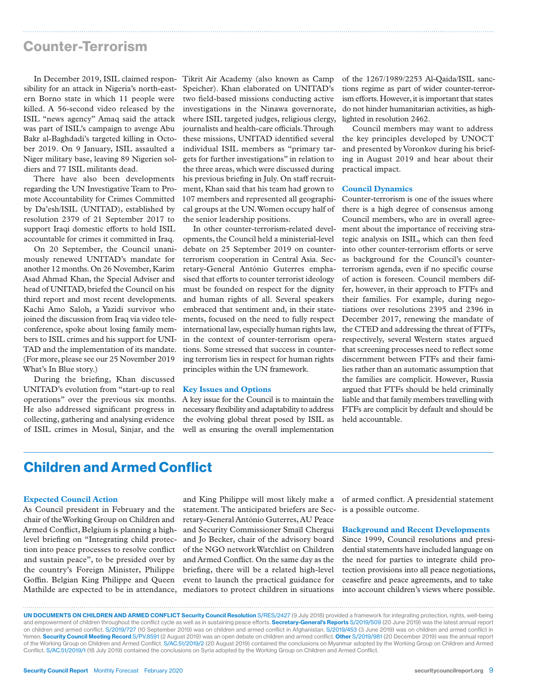### Counter-Terrorism

sibility for an attack in Nigeria's north-eastern Borno state in which 11 people were killed. A 56-second video released by the ISIL "news agency" Amaq said the attack was part of ISIL's campaign to avenge Abu Bakr al-Baghdadi's targeted killing in October 2019. On 9 January, ISIL assaulted a Niger military base, leaving 89 Nigerien soldiers and 77 ISIL militants dead.

There have also been developments regarding the UN Investigative Team to Promote Accountability for Crimes Committed by Da'esh/ISIL (UNITAD), established by resolution 2379 of 21 September 2017 to support Iraqi domestic efforts to hold ISIL accountable for crimes it committed in Iraq.

On 20 September, the Council unanimously renewed UNITAD's mandate for another 12 months. On 26 November, Karim Asad Ahmad Khan, the Special Adviser and head of UNITAD, briefed the Council on his third report and most recent developments. Kachi Amo Saloh, a Yazidi survivor who joined the discussion from Iraq via video teleconference, spoke about losing family members to ISIL crimes and his support for UNI-TAD and the implementation of its mandate. (For more, please see our 25 November 2019 What's In Blue story.)

During the briefing, Khan discussed UNITAD's evolution from "start-up to real operations" over the previous six months. He also addressed significant progress in collecting, gathering and analysing evidence of ISIL crimes in Mosul, Sinjar, and the

In December 2019, ISIL claimed respon-Tikrit Air Academy (also known as Camp Speicher). Khan elaborated on UNITAD's two field-based missions conducting active investigations in the Ninawa governorate, where ISIL targeted judges, religious clergy, journalists and health-care officials. Through these missions, UNITAD identified several individual ISIL members as "primary targets for further investigations" in relation to the three areas, which were discussed during his previous briefing in July. On staff recruitment, Khan said that his team had grown to 107 members and represented all geographical groups at the UN. Women occupy half of the senior leadership positions.

> In other counter-terrorism-related developments, the Council held a ministerial-level debate on 25 September 2019 on counterterrorism cooperation in Central Asia. Secretary-General António Guterres emphasised that efforts to counter terrorist ideology must be founded on respect for the dignity and human rights of all. Several speakers embraced that sentiment and, in their statements, focused on the need to fully respect international law, especially human rights law, in the context of counter-terrorism operations. Some stressed that success in countering terrorism lies in respect for human rights principles within the UN framework.

#### **Key Issues and Options**

A key issue for the Council is to maintain the necessary flexibility and adaptability to address the evolving global threat posed by ISIL as well as ensuring the overall implementation of the 1267/1989/2253 Al-Qaida/ISIL sanctions regime as part of wider counter-terrorism efforts. However, it is important that states do not hinder humanitarian activities, as highlighted in resolution 2462.

Council members may want to address the key principles developed by UNOCT and presented by Voronkov during his briefing in August 2019 and hear about their practical impact.

#### **Council Dynamics**

Counter-terrorism is one of the issues where there is a high degree of consensus among Council members, who are in overall agreement about the importance of receiving strategic analysis on ISIL, which can then feed into other counter-terrorism efforts or serve as background for the Council's counterterrorism agenda, even if no specific course of action is foreseen. Council members differ, however, in their approach to FTFs and their families. For example, during negotiations over resolutions 2395 and 2396 in December 2017, renewing the mandate of the CTED and addressing the threat of FTFs, respectively, several Western states argued that screening processes need to reflect some discernment between FTFs and their families rather than an automatic assumption that the families are complicit. However, Russia argued that FTFs should be held criminally liable and that family members travelling with FTFs are complicit by default and should be held accountable.

### Children and Armed Conflict

#### **Expected Council Action**

As Council president in February and the chair of the Working Group on Children and Armed Conflict, Belgium is planning a highlevel briefing on "Integrating child protection into peace processes to resolve conflict and sustain peace", to be presided over by the country's Foreign Minister, Philippe Goffin. Belgian King Philippe and Queen Mathilde are expected to be in attendance, mediators to protect children in situations

and King Philippe will most likely make a statement. The anticipated briefers are Secretary-General António Guterres, AU Peace and Security Commissioner Smaïl Chergui and Jo Becker, chair of the advisory board of the NGO network Watchlist on Children and Armed Conflict. On the same day as the briefing, there will be a related high-level event to launch the practical guidance for

of armed conflict. A presidential statement is a possible outcome.

#### **Background and Recent Developments**

Since 1999, Council resolutions and presidential statements have included language on the need for parties to integrate child protection provisions into all peace negotiations, ceasefire and peace agreements, and to take into account children's views where possible.

UN DOCUMENTS ON CHILDREN AND ARMED CONFLICT Security Council Resolution S/RES/2427 (9 July 2018) provided a framework for integrating protection, rights, well-being and empowerment of children throughout the conflict cycle as well as in sustaining peace efforts. Secretary-General's Reports S/2019/509 (20 June 2019) was the latest annual report on children and armed conflict. S/2019/727 (10 September 2019) was on children and armed conflict in Afghanistan. S/2019/453 (3 June 2019) was on children and armed conflict in Yemen. Security Council Meeting Record S/PV.8591 (2 August 2019) was an open debate on children and armed conflict. Other S/2019/981 (20 December 2019) was the annual report of the Working Group on Children and Armed Conflict. S/AC.51/2019/2 (20 August 2019) contained the conclusions on Myanmar adopted by the Working Group on Children and Armed Conflict. S/AC.51/2019/1 (18 July 2019) contained the conclusions on Syria adopted by the Working Group on Children and Armed Conflict.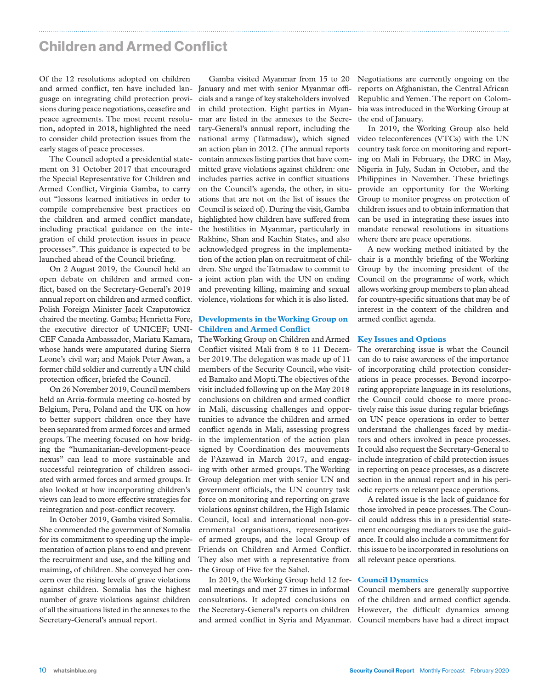### Children and Armed Conflict

Of the 12 resolutions adopted on children guage on integrating child protection provisions during peace negotiations, ceasefire and peace agreements. The most recent resolution, adopted in 2018, highlighted the need to consider child protection issues from the early stages of peace processes.

The Council adopted a presidential statement on 31 October 2017 that encouraged the Special Representative for Children and Armed Conflict, Virginia Gamba, to carry out "lessons learned initiatives in order to compile comprehensive best practices on the children and armed conflict mandate, including practical guidance on the integration of child protection issues in peace processes". This guidance is expected to be launched ahead of the Council briefing.

On 2 August 2019, the Council held an open debate on children and armed conflict, based on the Secretary-General's 2019 annual report on children and armed conflict. Polish Foreign Minister Jacek Czaputowicz chaired the meeting. Gamba; Henrietta Fore, the executive director of UNICEF; UNI-CEF Canada Ambassador, Mariatu Kamara, whose hands were amputated during Sierra Leone's civil war; and Majok Peter Awan, a former child soldier and currently a UN child protection officer, briefed the Council.

On 26 November 2019, Council members held an Arria-formula meeting co-hosted by Belgium, Peru, Poland and the UK on how to better support children once they have been separated from armed forces and armed groups. The meeting focused on how bridging the "humanitarian-development-peace nexus" can lead to more sustainable and successful reintegration of children associated with armed forces and armed groups. It also looked at how incorporating children's views can lead to more effective strategies for reintegration and post-conflict recovery.

In October 2019, Gamba visited Somalia. She commended the government of Somalia for its commitment to speeding up the implementation of action plans to end and prevent the recruitment and use, and the killing and maiming, of children. She conveyed her concern over the rising levels of grave violations against children. Somalia has the highest number of grave violations against children of all the situations listed in the annexes to the Secretary-General's annual report.

and armed conflict, ten have included lan-January and met with senior Myanmar offi-Gamba visited Myanmar from 15 to 20 cials and a range of key stakeholders involved in child protection. Eight parties in Myanmar are listed in the annexes to the Secretary-General's annual report, including the national army (Tatmadaw), which signed an action plan in 2012. (The annual reports contain annexes listing parties that have committed grave violations against children: one includes parties active in conflict situations on the Council's agenda, the other, in situations that are not on the list of issues the Council is seized of). During the visit, Gamba highlighted how children have suffered from the hostilities in Myanmar, particularly in Rakhine, Shan and Kachin States, and also acknowledged progress in the implementation of the action plan on recruitment of children. She urged the Tatmadaw to commit to a joint action plan with the UN on ending and preventing killing, maiming and sexual violence, violations for which it is also listed.

#### **Developments in the Working Group on Children and Armed Conflict**

The Working Group on Children and Armed Conflict visited Mali from 8 to 11 December 2019. The delegation was made up of 11 members of the Security Council, who visited Bamako and Mopti. The objectives of the visit included following up on the May 2018 conclusions on children and armed conflict in Mali, discussing challenges and opportunities to advance the children and armed conflict agenda in Mali, assessing progress in the implementation of the action plan signed by Coordination des mouvements de l'Azawad in March 2017, and engaging with other armed groups. The Working Group delegation met with senior UN and government officials, the UN country task force on monitoring and reporting on grave violations against children, the High Islamic Council, local and international non-governmental organisations, representatives of armed groups, and the local Group of Friends on Children and Armed Conflict. They also met with a representative from the Group of Five for the Sahel.

In 2019, the Working Group held 12 for-**Council Dynamics** mal meetings and met 27 times in informal consultations. It adopted conclusions on and armed conflict in Syria and Myanmar. Council members have had a direct impact

Negotiations are currently ongoing on the reports on Afghanistan, the Central African Republic and Yemen. The report on Colombia was introduced in the Working Group at the end of January.

In 2019, the Working Group also held video teleconferences (VTCs) with the UN country task force on monitoring and reporting on Mali in February, the DRC in May, Nigeria in July, Sudan in October, and the Philippines in November. These briefings provide an opportunity for the Working Group to monitor progress on protection of children issues and to obtain information that can be used in integrating these issues into mandate renewal resolutions in situations where there are peace operations.

A new working method initiated by the chair is a monthly briefing of the Working Group by the incoming president of the Council on the programme of work, which allows working group members to plan ahead for country-specific situations that may be of interest in the context of the children and armed conflict agenda.

#### **Key Issues and Options**

The overarching issue is what the Council can do to raise awareness of the importance of incorporating child protection considerations in peace processes. Beyond incorporating appropriate language in its resolutions, the Council could choose to more proactively raise this issue during regular briefings on UN peace operations in order to better understand the challenges faced by mediators and others involved in peace processes. It could also request the Secretary-General to include integration of child protection issues in reporting on peace processes, as a discrete section in the annual report and in his periodic reports on relevant peace operations.

A related issue is the lack of guidance for those involved in peace processes. The Council could address this in a presidential statement encouraging mediators to use the guidance. It could also include a commitment for this issue to be incorporated in resolutions on all relevant peace operations.

the Secretary-General's reports on children However, the difficult dynamics among Council members are generally supportive of the children and armed conflict agenda.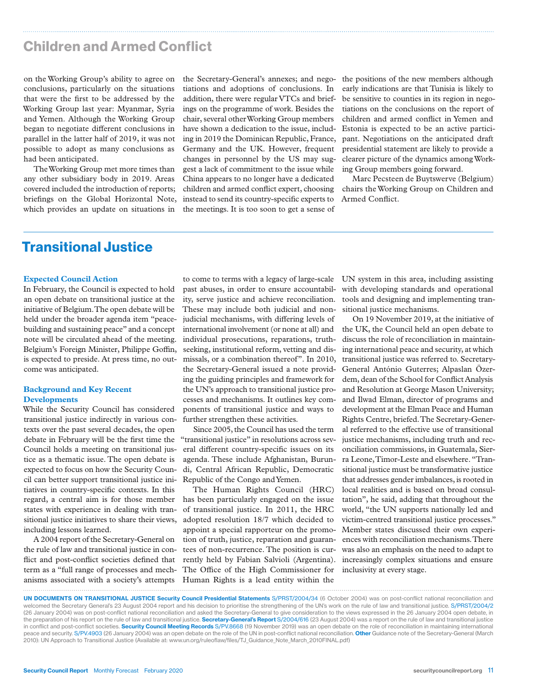### Children and Armed Conflict

on the Working Group's ability to agree on conclusions, particularly on the situations that were the first to be addressed by the Working Group last year: Myanmar, Syria and Yemen. Although the Working Group began to negotiate different conclusions in parallel in the latter half of 2019, it was not possible to adopt as many conclusions as had been anticipated.

The Working Group met more times than any other subsidiary body in 2019. Areas covered included the introduction of reports; briefings on the Global Horizontal Note, which provides an update on situations in

the Secretary-General's annexes; and negotiations and adoptions of conclusions. In addition, there were regular VTCs and briefings on the programme of work. Besides the chair, several other Working Group members have shown a dedication to the issue, including in 2019 the Dominican Republic, France, Germany and the UK. However, frequent changes in personnel by the US may suggest a lack of commitment to the issue while China appears to no longer have a dedicated children and armed conflict expert, choosing instead to send its country-specific experts to the meetings. It is too soon to get a sense of

the positions of the new members although early indications are that Tunisia is likely to be sensitive to counties in its region in negotiations on the conclusions on the report of children and armed conflict in Yemen and Estonia is expected to be an active participant. Negotiations on the anticipated draft presidential statement are likely to provide a clearer picture of the dynamics among Working Group members going forward.

Marc Pecsteen de Buytswerve (Belgium) chairs the Working Group on Children and Armed Conflict.

## Transitional Justice

#### **Expected Council Action**

In February, the Council is expected to hold an open debate on transitional justice at the initiative of Belgium. The open debate will be held under the broader agenda item "peacebuilding and sustaining peace" and a concept note will be circulated ahead of the meeting. Belgium's Foreign Minister, Philippe Goffin, is expected to preside. At press time, no outcome was anticipated.

#### **Background and Key Recent Developments**

While the Security Council has considered transitional justice indirectly in various contexts over the past several decades, the open debate in February will be the first time the Council holds a meeting on transitional justice as a thematic issue. The open debate is expected to focus on how the Security Council can better support transitional justice initiatives in country-specific contexts. In this regard, a central aim is for those member states with experience in dealing with transitional justice initiatives to share their views, including lessons learned.

A 2004 report of the Secretary-General on the rule of law and transitional justice in conflict and post-conflict societies defined that term as a "full range of processes and mechanisms associated with a society's attempts Human Rights is a lead entity within the

to come to terms with a legacy of large-scale past abuses, in order to ensure accountability, serve justice and achieve reconciliation. These may include both judicial and nonjudicial mechanisms, with differing levels of international involvement (or none at all) and individual prosecutions, reparations, truthseeking, institutional reform, vetting and dismissals, or a combination thereof". In 2010, the Secretary-General issued a note providing the guiding principles and framework for the UN's approach to transitional justice processes and mechanisms. It outlines key components of transitional justice and ways to further strengthen these activities.

Since 2005, the Council has used the term "transitional justice" in resolutions across several different country-specific issues on its agenda. These include Afghanistan, Burundi, Central African Republic, Democratic Republic of the Congo and Yemen.

The Human Rights Council (HRC) has been particularly engaged on the issue of transitional justice. In 2011, the HRC adopted resolution 18/7 which decided to appoint a special rapporteur on the promotion of truth, justice, reparation and guarantees of non-recurrence. The position is currently held by Fabian Salvioli (Argentina). The Office of the High Commissioner for

UN system in this area, including assisting with developing standards and operational tools and designing and implementing transitional justice mechanisms.

On 19 November 2019, at the initiative of the UK, the Council held an open debate to discuss the role of reconciliation in maintaining international peace and security, at which transitional justice was referred to. Secretary-General António Guterres; Alpaslan Özerdem, dean of the School for Conflict Analysis and Resolution at George Mason University; and Ilwad Elman, director of programs and development at the Elman Peace and Human Rights Centre, briefed. The Secretary-General referred to the effective use of transitional justice mechanisms, including truth and reconciliation commissions, in Guatemala, Sierra Leone, Timor-Leste and elsewhere. "Transitional justice must be transformative justice that addresses gender imbalances, is rooted in local realities and is based on broad consultation", he said, adding that throughout the world, "the UN supports nationally led and victim-centred transitional justice processes." Member states discussed their own experiences with reconciliation mechanisms. There was also an emphasis on the need to adapt to increasingly complex situations and ensure inclusivity at every stage.

UN DOCUMENTS ON TRANSITIONAL JUSTICE Security Council Presidential Statements S/PRST/2004/34 (6 October 2004) was on post-conflict national reconciliation and welcomed the Secretary General's 23 August 2004 report and his decision to prioritise the strengthening of the UN's work on the rule of law and transitional justice. S/PRST/2004/2 (26 January 2004) was on post-conflict national reconciliation and asked the Secretary-General to give consideration to the views expressed in the 26 January 2004 open debate, in the preparation of his report on the rule of law and transitional justice. Secretary-General's Report S/2004/616 (23 August 2004) was a report on the rule of law and transitional justice in conflict and post-conflict societies. Security Council Meeting Records S/PV.8668 (19 November 2019) was an open debate on the role of reconciliation in maintaining international peace and security. S/PV.4903 (26 January 2004) was an open debate on the role of the UN in post-conflict national reconciliation. Other Guidance note of the Secretary-General (March 2010): UN Approach to Transitional Justice (Available at: www.un.org/ruleoflaw/files/TJ\_Guidance\_Note\_March\_2010FINAL.pdf)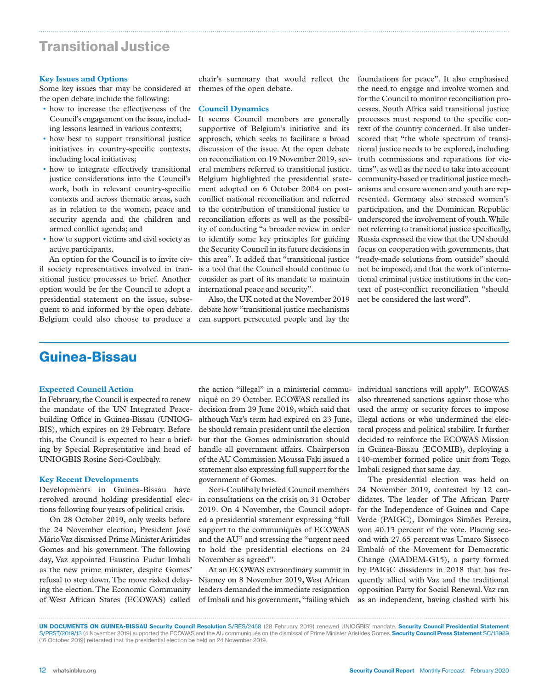### Transitional Justice

#### **Key Issues and Options**

Some key issues that may be considered at the open debate include the following:

- how to increase the effectiveness of the Council's engagement on the issue, including lessons learned in various contexts;
- how best to support transitional justice initiatives in country-specific contexts, including local initiatives;
- how to integrate effectively transitional justice considerations into the Council's work, both in relevant country-specific contexts and across thematic areas, such as in relation to the women, peace and security agenda and the children and armed conflict agenda; and
- how to support victims and civil society as active participants.

An option for the Council is to invite civil society representatives involved in transitional justice processes to brief. Another option would be for the Council to adopt a presidential statement on the issue, subsequent to and informed by the open debate. Belgium could also choose to produce a

chair's summary that would reflect the themes of the open debate.

#### **Council Dynamics**

It seems Council members are generally supportive of Belgium's initiative and its approach, which seeks to facilitate a broad discussion of the issue. At the open debate on reconciliation on 19 November 2019, several members referred to transitional justice. Belgium highlighted the presidential statement adopted on 6 October 2004 on postconflict national reconciliation and referred to the contribution of transitional justice to reconciliation efforts as well as the possibility of conducting "a broader review in order to identify some key principles for guiding the Security Council in its future decisions in this area". It added that "transitional justice is a tool that the Council should continue to consider as part of its mandate to maintain international peace and security".

Also, the UK noted at the November 2019 debate how "transitional justice mechanisms can support persecuted people and lay the

foundations for peace". It also emphasised the need to engage and involve women and for the Council to monitor reconciliation processes. South Africa said transitional justice processes must respond to the specific context of the country concerned. It also underscored that "the whole spectrum of transitional justice needs to be explored, including truth commissions and reparations for victims", as well as the need to take into account community-based or traditional justice mechanisms and ensure women and youth are represented. Germany also stressed women's participation, and the Dominican Republic underscored the involvement of youth. While not referring to transitional justice specifically, Russia expressed the view that the UN should focus on cooperation with governments, that "ready-made solutions from outside" should not be imposed, and that the work of international criminal justice institutions in the context of post-conflict reconciliation "should not be considered the last word".

### Guinea-Bissau

#### **Expected Council Action**

In February, the Council is expected to renew the mandate of the UN Integrated Peacebuilding Office in Guinea-Bissau (UNIOG-BIS), which expires on 28 February. Before this, the Council is expected to hear a briefing by Special Representative and head of UNIOGBIS Rosine Sori-Coulibaly.

#### **Key Recent Developments**

Developments in Guinea-Bissau have revolved around holding presidential elections following four years of political crisis.

On 28 October 2019, only weeks before the 24 November election, President José Mário Vaz dismissed Prime Minister Aristides Gomes and his government. The following day, Vaz appointed Faustino Fudut Imbali as the new prime minister, despite Gomes' refusal to step down. The move risked delaying the election. The Economic Community of West African States (ECOWAS) called

the action "illegal" in a ministerial communiqué on 29 October. ECOWAS recalled its decision from 29 June 2019, which said that although Vaz's term had expired on 23 June, he should remain president until the election but that the Gomes administration should handle all government affairs. Chairperson of the AU Commission Moussa Faki issued a statement also expressing full support for the government of Gomes.

Sori-Coulibaly briefed Council members in consultations on the crisis on 31 October 2019. On 4 November, the Council adopted a presidential statement expressing "full support to the communiqués of ECOWAS and the AU" and stressing the "urgent need to hold the presidential elections on 24 November as agreed".

At an ECOWAS extraordinary summit in Niamey on 8 November 2019, West African leaders demanded the immediate resignation of Imbali and his government, "failing which individual sanctions will apply". ECOWAS also threatened sanctions against those who used the army or security forces to impose illegal actions or who undermined the electoral process and political stability. It further decided to reinforce the ECOWAS Mission in Guinea-Bissau (ECOMIB), deploying a 140-member formed police unit from Togo. Imbali resigned that same day.

The presidential election was held on 24 November 2019, contested by 12 candidates. The leader of The African Party for the Independence of Guinea and Cape Verde (PAIGC), Domingos Simões Pereira, won 40.13 percent of the vote. Placing second with 27.65 percent was Umaro Sissoco Embaló of the Movement for Democratic Change (MADEM-G15), a party formed by PAIGC dissidents in 2018 that has frequently allied with Vaz and the traditional opposition Party for Social Renewal. Vaz ran as an independent, having clashed with his

UN DOCUMENTS ON GUINEA-BISSAU Security Council Resolution S/RES/2458 (28 February 2019) renewed UNIOGBIS' mandate. Security Council Presidential Statement S/PRST/2019/13 (4 November 2019) supported the ECOWAS and the AU communiqués on the dismissal of Prime Minister Aristides Gomes. Security Council Press Statement SC/13989 (16 October 2019) reiterated that the presidential election be held on 24 November 2019.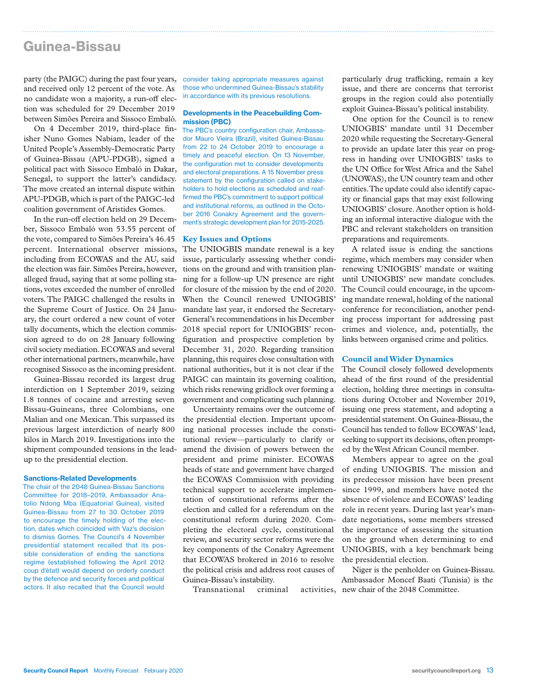### Guinea-Bissau

party (the PAIGC) during the past four years, and received only 12 percent of the vote. As no candidate won a majority, a run-off election was scheduled for 29 December 2019 between Simões Pereira and Sissoco Embaló.

On 4 December 2019, third-place finisher Nuno Gomes Nabiam, leader of the United People's Assembly-Democratic Party of Guinea-Bissau (APU-PDGB), signed a political pact with Sissoco Embaló in Dakar, Senegal, to support the latter's candidacy. The move created an internal dispute within APU-PDGB, which is part of the PAIGC-led coalition government of Aristides Gomes.

In the run-off election held on 29 December, Sissoco Embaló won 53.55 percent of the vote, compared to Simões Pereira's 46.45 percent. International observer missions, including from ECOWAS and the AU, said the election was fair. Simões Pereira, however, alleged fraud, saying that at some polling stations, votes exceeded the number of enrolled voters. The PAIGC challenged the results in the Supreme Court of Justice. On 24 January, the court ordered a new count of voter tally documents, which the election commission agreed to do on 28 January following civil society mediation. ECOWAS and several other international partners, meanwhile, have recognised Sissoco as the incoming president.

Guinea-Bissau recorded its largest drug interdiction on 1 September 2019, seizing 1.8 tonnes of cocaine and arresting seven Bissau-Guineans, three Colombians, one Malian and one Mexican. This surpassed its previous largest interdiction of nearly 800 kilos in March 2019. Investigations into the shipment compounded tensions in the leadup to the presidential election.

#### Sanctions-Related Developments

The chair of the 2048 Guinea-Bissau Sanctions Committee for 2018–2019, Ambassador Anatolio Ndong Mba (Equatorial Guinea), visited Guinea-Bissau from 27 to 30 October 2019 to encourage the timely holding of the election, dates which coincided with Vaz's decision to dismiss Gomes. The Council's 4 November presidential statement recalled that its possible consideration of ending the sanctions regime (established following the April 2012 coup d'état) would depend on orderly conduct by the defence and security forces and political actors. It also recalled that the Council would

consider taking appropriate measures against those who undermined Guinea-Bissau's stability in accordance with its previous resolutions.

#### Developments in the Peacebuilding Commission (PBC)

The PBC's country configuration chair, Ambassador Mauro Vieira (Brazil), visited Guinea-Bissau from 22 to 24 October 2019 to encourage a timely and peaceful election. On 13 November, the configuration met to consider developments and electoral preparations. A 15 November press statement by the configuration called on stakeholders to hold elections as scheduled and reaffirmed the PBC's commitment to support political and institutional reforms, as outlined in the October 2016 Conakry Agreement and the government's strategic development plan for 2015-2025.

#### **Key Issues and Options**

The UNIOGBIS mandate renewal is a key issue, particularly assessing whether conditions on the ground and with transition planning for a follow-up UN presence are right for closure of the mission by the end of 2020. When the Council renewed UNIOGBIS' mandate last year, it endorsed the Secretary-General's recommendations in his December 2018 special report for UNIOGBIS' reconfiguration and prospective completion by December 31, 2020. Regarding transition planning, this requires close consultation with national authorities, but it is not clear if the PAIGC can maintain its governing coalition, which risks renewing gridlock over forming a government and complicating such planning.

Uncertainty remains over the outcome of the presidential election. Important upcoming national processes include the constitutional review—particularly to clarify or amend the division of powers between the president and prime minister. ECOWAS heads of state and government have charged the ECOWAS Commission with providing technical support to accelerate implementation of constitutional reforms after the election and called for a referendum on the constitutional reform during 2020. Completing the electoral cycle, constitutional review, and security sector reforms were the key components of the Conakry Agreement that ECOWAS brokered in 2016 to resolve the political crisis and address root causes of Guinea-Bissau's instability.

Transnational criminal

particularly drug trafficking, remain a key issue, and there are concerns that terrorist groups in the region could also potentially exploit Guinea-Bissau's political instability.

One option for the Council is to renew UNIOGBIS' mandate until 31 December 2020 while requesting the Secretary-General to provide an update later this year on progress in handing over UNIOGBIS' tasks to the UN Office for West Africa and the Sahel (UNOWAS), the UN country team and other entities. The update could also identify capacity or financial gaps that may exist following UNIOGBIS' closure. Another option is holding an informal interactive dialogue with the PBC and relevant stakeholders on transition preparations and requirements.

A related issue is ending the sanctions regime, which members may consider when renewing UNIOGBIS' mandate or waiting until UNIOGBIS' new mandate concludes. The Council could encourage, in the upcoming mandate renewal, holding of the national conference for reconciliation, another pending process important for addressing past crimes and violence, and, potentially, the links between organised crime and politics.

#### **Council and Wider Dynamics**

The Council closely followed developments ahead of the first round of the presidential election, holding three meetings in consultations during October and November 2019, issuing one press statement, and adopting a presidential statement. On Guinea-Bissau, the Council has tended to follow ECOWAS' lead, seeking to support its decisions, often prompted by the West African Council member.

Members appear to agree on the goal of ending UNIOGBIS. The mission and its predecessor mission have been present since 1999, and members have noted the absence of violence and ECOWAS' leading role in recent years. During last year's mandate negotiations, some members stressed the importance of assessing the situation on the ground when determining to end UNIOGBIS, with a key benchmark being the presidential election.

Niger is the penholder on Guinea-Bissau. Ambassador Moncef Baati (Tunisia) is the activities, new chair of the 2048 Committee.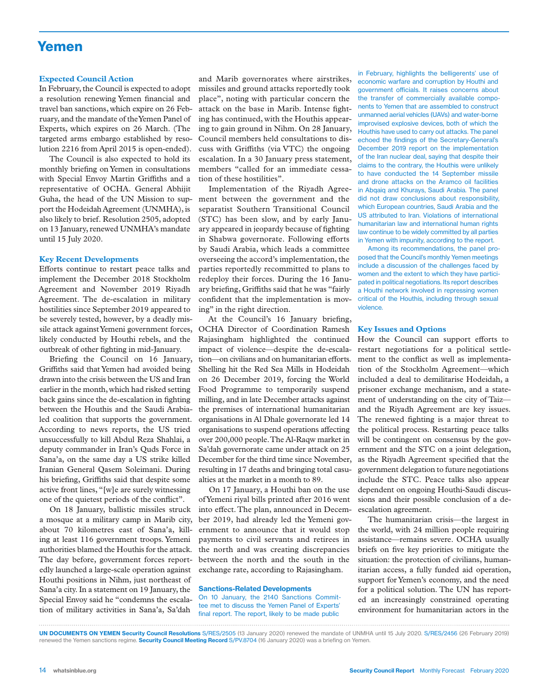### Yemen

#### **Expected Council Action**

In February, the Council is expected to adopt a resolution renewing Yemen financial and travel ban sanctions, which expire on 26 February, and the mandate of the Yemen Panel of Experts, which expires on 26 March. (The targeted arms embargo established by resolution 2216 from April 2015 is open-ended).

The Council is also expected to hold its monthly briefing on Yemen in consultations with Special Envoy Martin Griffiths and a representative of OCHA. General Abhijit Guha, the head of the UN Mission to support the Hodeidah Agreement (UNMHA), is also likely to brief. Resolution 2505, adopted on 13 January, renewed UNMHA's mandate until 15 July 2020.

#### **Key Recent Developments**

Efforts continue to restart peace talks and implement the December 2018 Stockholm Agreement and November 2019 Riyadh Agreement. The de-escalation in military hostilities since September 2019 appeared to be severely tested, however, by a deadly missile attack against Yemeni government forces, likely conducted by Houthi rebels, and the outbreak of other fighting in mid-January.

Briefing the Council on 16 January, Griffiths said that Yemen had avoided being drawn into the crisis between the US and Iran earlier in the month, which had risked setting back gains since the de-escalation in fighting between the Houthis and the Saudi Arabialed coalition that supports the government. According to news reports, the US tried unsuccessfully to kill Abdul Reza Shahlai, a deputy commander in Iran's Quds Force in Sana'a, on the same day a US strike killed Iranian General Qasem Soleimani. During his briefing, Griffiths said that despite some active front lines, "[w]e are surely witnessing one of the quietest periods of the conflict".

On 18 January, ballistic missiles struck a mosque at a military camp in Marib city, about 70 kilometres east of Sana'a, killing at least 116 government troops. Yemeni authorities blamed the Houthis for the attack. The day before, government forces reportedly launched a large-scale operation against Houthi positions in Nihm, just northeast of Sana'a city. In a statement on 19 January, the Special Envoy said he "condemns the escalation of military activities in Sana'a, Sa'dah

and Marib governorates where airstrikes, missiles and ground attacks reportedly took place", noting with particular concern the attack on the base in Marib. Intense fighting has continued, with the Houthis appearing to gain ground in Nihm. On 28 January, Council members held consultations to discuss with Griffiths (via VTC) the ongoing escalation. In a 30 January press statement, members "called for an immediate cessation of these hostilities".

Implementation of the Riyadh Agreement between the government and the separatist Southern Transitional Council (STC) has been slow, and by early January appeared in jeopardy because of fighting in Shabwa governorate. Following efforts by Saudi Arabia, which leads a committee overseeing the accord's implementation, the parties reportedly recommitted to plans to redeploy their forces. During the 16 January briefing, Griffiths said that he was "fairly confident that the implementation is moving" in the right direction.

At the Council's 16 January briefing, OCHA Director of Coordination Ramesh Rajasingham highlighted the continued impact of violence—despite the de-escalation—on civilians and on humanitarian efforts. Shelling hit the Red Sea Mills in Hodeidah on 26 December 2019, forcing the World Food Programme to temporarily suspend milling, and in late December attacks against the premises of international humanitarian organisations in Al Dhale governorate led 14 organisations to suspend operations affecting over 200,000 people. The Al-Raqw market in Sa'dah governorate came under attack on 25 December for the third time since November, resulting in 17 deaths and bringing total casualties at the market in a month to 89.

On 17 January, a Houthi ban on the use of Yemeni riyal bills printed after 2016 went into effect. The plan, announced in December 2019, had already led the Yemeni government to announce that it would stop payments to civil servants and retirees in the north and was creating discrepancies between the north and the south in the exchange rate, according to Rajasingham.

#### Sanctions-Related Developments

On 10 January, the 2140 Sanctions Committee met to discuss the Yemen Panel of Experts' final report. The report, likely to be made public

in February, highlights the belligerents' use of economic warfare and corruption by Houthi and government officials. It raises concerns about the transfer of commercially available components to Yemen that are assembled to construct unmanned aerial vehicles (UAVs) and water-borne improvised explosive devices, both of which the Houthis have used to carry out attacks. The panel echoed the findings of the Secretary-General's December 2019 report on the implementation of the Iran nuclear deal, saying that despite their claims to the contrary, the Houthis were unlikely to have conducted the 14 September missile and drone attacks on the Aramco oil facilities in Abqaiq and Khurays, Saudi Arabia. The panel did not draw conclusions about responsibility, which European countries, Saudi Arabia and the US attributed to Iran. Violations of international humanitarian law and international human rights law continue to be widely committed by all parties in Yemen with impunity, according to the report.

Among its recommendations, the panel proposed that the Council's monthly Yemen meetings include a discussion of the challenges faced by women and the extent to which they have participated in political negotiations. Its report describes a Houthi network involved in repressing women critical of the Houthis, including through sexual violence.

#### **Key Issues and Options**

How the Council can support efforts to restart negotiations for a political settlement to the conflict as well as implementation of the Stockholm Agreement—which included a deal to demilitarise Hodeidah, a prisoner exchange mechanism, and a statement of understanding on the city of Taiz and the Riyadh Agreement are key issues. The renewed fighting is a major threat to the political process. Restarting peace talks will be contingent on consensus by the government and the STC on a joint delegation, as the Riyadh Agreement specified that the government delegation to future negotiations include the STC. Peace talks also appear dependent on ongoing Houthi-Saudi discussions and their possible conclusion of a deescalation agreement.

The humanitarian crisis—the largest in the world, with 24 million people requiring assistance—remains severe. OCHA usually briefs on five key priorities to mitigate the situation: the protection of civilians, humanitarian access, a fully funded aid operation, support for Yemen's economy, and the need for a political solution. The UN has reported an increasingly constrained operating environment for humanitarian actors in the

UN DOCUMENTS ON YEMEN Security Council Resolutions S/RES/2505 (13 January 2020) renewed the mandate of UNMHA until 15 July 2020. S/RES/2456 (26 February 2019) renewed the Yemen sanctions regime. **Security Council Meeting Record** S/PV.8704 (16 January 2020) was a briefing on Yemen.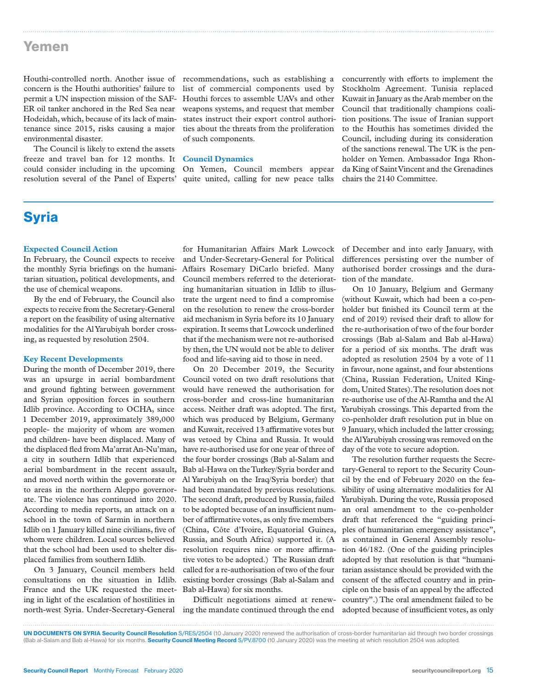### Yemen

Houthi-controlled north. Another issue of recommendations, such as establishing a concern is the Houthi authorities' failure to permit a UN inspection mission of the SAF-ER oil tanker anchored in the Red Sea near Hodeidah, which, because of its lack of maintenance since 2015, risks causing a major environmental disaster.

The Council is likely to extend the assets freeze and travel ban for 12 months. It could consider including in the upcoming resolution several of the Panel of Experts'

list of commercial components used by Houthi forces to assemble UAVs and other weapons systems, and request that member states instruct their export control authorities about the threats from the proliferation of such components.

#### **Council Dynamics**

On Yemen, Council members appear quite united, calling for new peace talks

concurrently with efforts to implement the Stockholm Agreement. Tunisia replaced Kuwait in January as the Arab member on the Council that traditionally champions coalition positions. The issue of Iranian support to the Houthis has sometimes divided the Council, including during its consideration of the sanctions renewal. The UK is the penholder on Yemen. Ambassador Inga Rhonda King of Saint Vincent and the Grenadines chairs the 2140 Committee.

### **Syria**

### **Expected Council Action**

In February, the Council expects to receive the monthly Syria briefings on the humanitarian situation, political developments, and the use of chemical weapons.

By the end of February, the Council also expects to receive from the Secretary-General a report on the feasibility of using alternative modalities for the Al Yarubiyah border crossing, as requested by resolution 2504.

#### **Key Recent Developments**

During the month of December 2019, there was an upsurge in aerial bombardment and ground fighting between government and Syrian opposition forces in southern Idlib province. According to OCHA, since 1 December 2019, approximately 389,000 people- the majority of whom are women and children- have been displaced. Many of the displaced fled from Ma'arrat An-Nu'man, a city in southern Idlib that experienced aerial bombardment in the recent assault, and moved north within the governorate or ate. The violence has continued into 2020. According to media reports, an attack on a school in the town of Sarmin in northern Idlib on 1 January killed nine civilians, five of whom were children. Local sources believed that the school had been used to shelter displaced families from southern Idlib.

On 3 January, Council members held consultations on the situation in Idlib. France and the UK requested the meeting in light of the escalation of hostilities in

for Humanitarian Affairs Mark Lowcock and Under-Secretary-General for Political Affairs Rosemary DiCarlo briefed. Many Council members referred to the deteriorating humanitarian situation in Idlib to illustrate the urgent need to find a compromise on the resolution to renew the cross-border aid mechanism in Syria before its 10 January expiration. It seems that Lowcock underlined that if the mechanism were not re-authorised by then, the UN would not be able to deliver food and life-saving aid to those in need.

to areas in the northern Aleppo governor-had been mandated by previous resolutions. On 20 December 2019, the Security Council voted on two draft resolutions that would have renewed the authorisation for cross-border and cross-line humanitarian access. Neither draft was adopted. The first, which was produced by Belgium, Germany and Kuwait, received 13 affirmative votes but was vetoed by China and Russia. It would have re-authorised use for one year of three of the four border crossings (Bab al-Salam and Bab al-Hawa on the Turkey/Syria border and Al Yarubiyah on the Iraq/Syria border) that The second draft, produced by Russia, failed to be adopted because of an insufficient number of affirmative votes, as only five members (China, Côte d'Ivoire, Equatorial Guinea, Russia, and South Africa) supported it. (A resolution requires nine or more affirmative votes to be adopted.) The Russian draft called for a re-authorisation of two of the four existing border crossings (Bab al-Salam and Bab al-Hawa) for six months.

north-west Syria. Under-Secretary-General ing the mandate continued through the end Difficult negotiations aimed at renew-

of December and into early January, with differences persisting over the number of authorised border crossings and the duration of the mandate.

On 10 January, Belgium and Germany (without Kuwait, which had been a co-penholder but finished its Council term at the end of 2019) revised their draft to allow for the re-authorisation of two of the four border crossings (Bab al-Salam and Bab al-Hawa) for a period of six months. The draft was adopted as resolution 2504 by a vote of 11 in favour, none against, and four abstentions (China, Russian Federation, United Kingdom, United States). The resolution does not re-authorise use of the Al-Ramtha and the Al Yarubiyah crossings. This departed from the co-penholder draft resolution put in blue on 9 January, which included the latter crossing; the Al Yarubiyah crossing was removed on the day of the vote to secure adoption.

The resolution further requests the Secretary-General to report to the Security Council by the end of February 2020 on the feasibility of using alternative modalities for Al Yarubiyah. During the vote, Russia proposed an oral amendment to the co-penholder draft that referenced the "guiding principles of humanitarian emergency assistance", as contained in General Assembly resolution 46/182. (One of the guiding principles adopted by that resolution is that "humanitarian assistance should be provided with the consent of the affected country and in principle on the basis of an appeal by the affected country".) The oral amendment failed to be adopted because of insufficient votes, as only

UN DOCUMENTS ON SYRIA Security Council Resolution S/RES/2504 (10 January 2020) renewed the authorisation of cross-border humanitarian aid through two border crossings (Bab al-Salam and Bab al-Hawa) for six months. Security Council Meeting Record S/PV.8700 (10 January 2020) was the meeting at which resolution 2504 was adopted.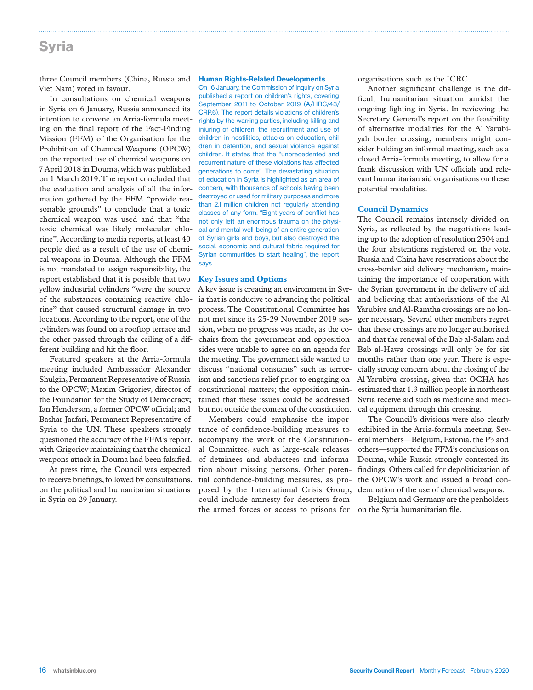### Syria

three Council members (China, Russia and Viet Nam) voted in favour.

In consultations on chemical weapons in Syria on 6 January, Russia announced its intention to convene an Arria-formula meeting on the final report of the Fact-Finding Mission (FFM) of the Organisation for the Prohibition of Chemical Weapons (OPCW) on the reported use of chemical weapons on 7 April 2018 in Douma, which was published on 1 March 2019. The report concluded that the evaluation and analysis of all the information gathered by the FFM "provide reasonable grounds" to conclude that a toxic chemical weapon was used and that "the toxic chemical was likely molecular chlorine". According to media reports, at least 40 people died as a result of the use of chemical weapons in Douma. Although the FFM is not mandated to assign responsibility, the report established that it is possible that two yellow industrial cylinders "were the source of the substances containing reactive chlorine" that caused structural damage in two locations. According to the report, one of the cylinders was found on a rooftop terrace and the other passed through the ceiling of a different building and hit the floor.

Featured speakers at the Arria-formula meeting included Ambassador Alexander Shulgin, Permanent Representative of Russia to the OPCW; Maxim Grigoriev, director of the Foundation for the Study of Democracy; Ian Henderson, a former OPCW official; and Bashar Jaafari, Permanent Representative of Syria to the UN. These speakers strongly questioned the accuracy of the FFM's report, with Grigoriev maintaining that the chemical weapons attack in Douma had been falsified.

At press time, the Council was expected to receive briefings, followed by consultations, on the political and humanitarian situations in Syria on 29 January.

#### Human Rights-Related Developments

On 16 January, the Commission of Inquiry on Syria published a report on children's rights, covering September 2011 to October 2019 (A/HRC/43/ CRP.6). The report details violations of children's rights by the warring parties, including killing and injuring of children, the recruitment and use of children in hostilities, attacks on education, children in detention, and sexual violence against children. It states that the "unprecedented and recurrent nature of these violations has affected generations to come". The devastating situation of education in Syria is highlighted as an area of concern, with thousands of schools having been destroyed or used for military purposes and more than 2.1 million children not regularly attending classes of any form. "Eight years of conflict has not only left an enormous trauma on the physical and mental well-being of an entire generation of Syrian girls and boys, but also destroyed the social, economic and cultural fabric required for Syrian communities to start healing", the report says.

#### **Key Issues and Options**

A key issue is creating an environment in Syria that is conducive to advancing the political process. The Constitutional Committee has not met since its 25-29 November 2019 session, when no progress was made, as the cochairs from the government and opposition sides were unable to agree on an agenda for the meeting. The government side wanted to discuss "national constants" such as terrorism and sanctions relief prior to engaging on constitutional matters; the opposition maintained that these issues could be addressed but not outside the context of the constitution.

Members could emphasise the importance of confidence-building measures to accompany the work of the Constitutional Committee, such as large-scale releases of detainees and abductees and information about missing persons. Other potential confidence-building measures, as proposed by the International Crisis Group, could include amnesty for deserters from the armed forces or access to prisons for on the Syria humanitarian file.

organisations such as the ICRC.

Another significant challenge is the difficult humanitarian situation amidst the ongoing fighting in Syria. In reviewing the Secretary General's report on the feasibility of alternative modalities for the Al Yarubiyah border crossing, members might consider holding an informal meeting, such as a closed Arria-formula meeting, to allow for a frank discussion with UN officials and relevant humanitarian aid organisations on these potential modalities.

#### **Council Dynamics**

The Council remains intensely divided on Syria, as reflected by the negotiations leading up to the adoption of resolution 2504 and the four abstentions registered on the vote. Russia and China have reservations about the cross-border aid delivery mechanism, maintaining the importance of cooperation with the Syrian government in the delivery of aid and believing that authorisations of the Al Yarubiya and Al-Ramtha crossings are no longer necessary. Several other members regret that these crossings are no longer authorised and that the renewal of the Bab al-Salam and Bab al-Hawa crossings will only be for six months rather than one year. There is especially strong concern about the closing of the Al Yarubiya crossing, given that OCHA has estimated that 1.3 million people in northeast Syria receive aid such as medicine and medical equipment through this crossing.

The Council's divisions were also clearly exhibited in the Arria-formula meeting. Several members—Belgium, Estonia, the P3 and others—supported the FFM's conclusions on Douma, while Russia strongly contested its findings. Others called for depoliticization of the OPCW's work and issued a broad condemnation of the use of chemical weapons.

Belgium and Germany are the penholders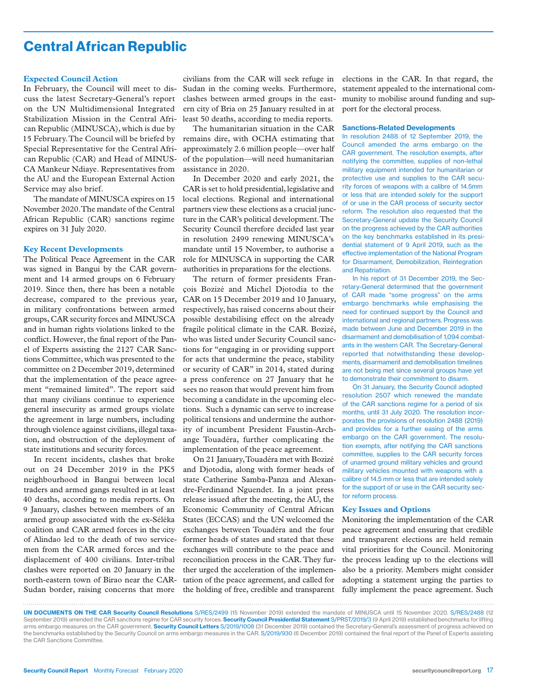### Central African Republic

#### **Expected Council Action**

In February, the Council will meet to discuss the latest Secretary-General's report on the UN Multidimensional Integrated Stabilization Mission in the Central African Republic (MINUSCA), which is due by 15 February. The Council will be briefed by Special Representative for the Central African Republic (CAR) and Head of MINUS-CA Mankeur Ndiaye. Representatives from the AU and the European External Action Service may also brief.

The mandate of MINUSCA expires on 15 November 2020. The mandate of the Central African Republic (CAR) sanctions regime expires on 31 July 2020.

#### **Key Recent Developments**

The Political Peace Agreement in the CAR was signed in Bangui by the CAR government and 14 armed groups on 6 February 2019. Since then, there has been a notable decrease, compared to the previous year, in military confrontations between armed groups, CAR security forces and MINUSCA and in human rights violations linked to the conflict. However, the final report of the Panel of Experts assisting the 2127 CAR Sanctions Committee, which was presented to the committee on 2 December 2019, determined that the implementation of the peace agreement "remained limited". The report said that many civilians continue to experience general insecurity as armed groups violate the agreement in large numbers, including through violence against civilians, illegal taxation, and obstruction of the deployment of state institutions and security forces.

In recent incidents, clashes that broke out on 24 December 2019 in the PK5 neighbourhood in Bangui between local traders and armed gangs resulted in at least 40 deaths, according to media reports. On 9 January, clashes between members of an armed group associated with the ex-Séléka coalition and CAR armed forces in the city of Alindao led to the death of two servicemen from the CAR armed forces and the displacement of 400 civilians. Inter-tribal clashes were reported on 20 January in the north-eastern town of Birao near the CAR-Sudan border, raising concerns that more

civilians from the CAR will seek refuge in Sudan in the coming weeks. Furthermore, clashes between armed groups in the eastern city of Bria on 25 January resulted in at least 50 deaths, according to media reports.

The humanitarian situation in the CAR remains dire, with OCHA estimating that approximately 2.6 million people—over half of the population—will need humanitarian assistance in 2020.

In December 2020 and early 2021, the CAR is set to hold presidential, legislative and local elections. Regional and international partners view these elections as a crucial juncture in the CAR's political development. The Security Council therefore decided last year in resolution 2499 renewing MINUSCA's mandate until 15 November, to authorise a role for MINUSCA in supporting the CAR authorities in preparations for the elections.

The return of former presidents François Bozizé and Michel Djotodia to the CAR on 15 December 2019 and 10 January, respectively, has raised concerns about their possible destabilising effect on the already fragile political climate in the CAR. Bozizé, who was listed under Security Council sanctions for "engaging in or providing support for acts that undermine the peace, stability or security of CAR" in 2014, stated during a press conference on 27 January that he sees no reason that would prevent him from becoming a candidate in the upcoming elections. Such a dynamic can serve to increase political tensions and undermine the authority of incumbent President Faustin-Archange Touadéra, further complicating the implementation of the peace agreement.

On 21 January, Touadéra met with Bozizé and Djotodia, along with former heads of state Catherine Samba-Panza and Alexandre-Ferdinand Nguendet. In a joint press release issued after the meeting, the AU, the Economic Community of Central African States (ECCAS) and the UN welcomed the exchanges between Touadéra and the four former heads of states and stated that these exchanges will contribute to the peace and reconciliation process in the CAR. They further urged the acceleration of the implementation of the peace agreement, and called for the holding of free, credible and transparent

elections in the CAR. In that regard, the statement appealed to the international community to mobilise around funding and support for the electoral process.

#### Sanctions-Related Developments

In resolution 2488 of 12 September 2019, the Council amended the arms embargo on the CAR government. The resolution exempts, after notifying the committee, supplies of non-lethal military equipment intended for humanitarian or protective use and supplies to the CAR security forces of weapons with a calibre of 14.5mm or less that are intended solely for the support of or use in the CAR process of security sector reform. The resolution also requested that the Secretary-General update the Security Council on the progress achieved by the CAR authorities on the key benchmarks established in its presidential statement of 9 April 2019, such as the effective implementation of the National Program for Disarmament, Demobilization, Reintegration and Repatriation.

In his report of 31 December 2019, the Secretary-General determined that the government of CAR made "some progress" on the arms embargo benchmarks while emphasising the need for continued support by the Council and international and regional partners. Progress was made between June and December 2019 in the disarmament and demobilisation of 1,094 combatants in the western CAR. The Secretary-General reported that notwithstanding these developments, disarmament and demobilisation timelines are not being met since several groups have yet to demonstrate their commitment to disarm.

On 31 January, the Security Council adopted resolution 2507 which renewed the mandate of the CAR sanctions regime for a period of six months, until 31 July 2020. The resolution incorporates the provisions of resolution 2488 (2019) and provides for a further easing of the arms embargo on the CAR government. The resolution exempts, after notifying the CAR sanctions committee, supplies to the CAR security forces of unarmed ground military vehicles and ground military vehicles mounted with weapons with a calibre of 14.5 mm or less that are intended solely for the support of or use in the CAR security sector reform process.

#### **Key Issues and Options**

Monitoring the implementation of the CAR peace agreement and ensuring that credible and transparent elections are held remain vital priorities for the Council. Monitoring the process leading up to the elections will also be a priority. Members might consider adopting a statement urging the parties to fully implement the peace agreement. Such

UN DOCUMENTS ON THE CAR Security Council Resolutions S/RES/2499 (15 November 2019) extended the mandate of MINUSCA until 15 November 2020. S/RES/2488 (12 September 2019) amended the CAR sanctions regime for CAR security forces. Security Council Presidential Statement S/PRST/2019/3 (9 April 2019) established benchmarks for lifting arms embargo measures on the CAR government. Security Council Letters S/2019/1008 (31 December 2019) contained the Secretary-General's assessment of progress achieved on the benchmarks established by the Security Council on arms embargo measures in the CAR. S/2019/930 (6 December 2019) contained the final report of the Panel of Experts assisting the CAR Sanctions Committee.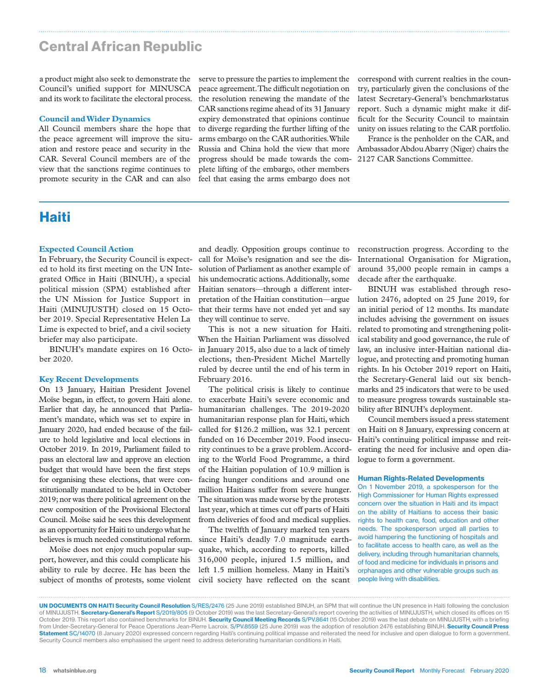### Central African Republic

a product might also seek to demonstrate the Council's unified support for MINUSCA and its work to facilitate the electoral process.

#### **Council and Wider Dynamics**

All Council members share the hope that the peace agreement will improve the situation and restore peace and security in the CAR. Several Council members are of the view that the sanctions regime continues to promote security in the CAR and can also

serve to pressure the parties to implement the peace agreement. The difficult negotiation on the resolution renewing the mandate of the CAR sanctions regime ahead of its 31 January expiry demonstrated that opinions continue to diverge regarding the further lifting of the arms embargo on the CAR authorities. While Russia and China hold the view that more progress should be made towards the com-2127 CAR Sanctions Committee. plete lifting of the embargo, other members feel that easing the arms embargo does not

correspond with current realties in the country, particularly given the conclusions of the latest Secretary-General's benchmarkstatus report. Such a dynamic might make it difficult for the Security Council to maintain unity on issues relating to the CAR portfolio.

France is the penholder on the CAR, and Ambassador Abdou Abarry (Niger) chairs the

### Haiti

### **Expected Council Action**

In February, the Security Council is expected to hold its first meeting on the UN Integrated Office in Haiti (BINUH), a special political mission (SPM) established after the UN Mission for Justice Support in Haiti (MINUJUSTH) closed on 15 October 2019. Special Representative Helen La Lime is expected to brief, and a civil society briefer may also participate.

BINUH's mandate expires on 16 October 2020.

#### **Key Recent Developments**

On 13 January, Haitian President Jovenel Moïse began, in effect, to govern Haiti alone. Earlier that day, he announced that Parliament's mandate, which was set to expire in January 2020, had ended because of the failure to hold legislative and local elections in October 2019. In 2019, Parliament failed to pass an electoral law and approve an election budget that would have been the first steps for organising these elections, that were constitutionally mandated to be held in October 2019; nor was there political agreement on the new composition of the Provisional Electoral Council. Moïse said he sees this development as an opportunity for Haiti to undergo what he believes is much needed constitutional reform.

Moïse does not enjoy much popular support, however, and this could complicate his ability to rule by decree. He has been the subject of months of protests, some violent

and deadly. Opposition groups continue to call for Moïse's resignation and see the dissolution of Parliament as another example of his undemocratic actions. Additionally, some Haitian senators—through a different interpretation of the Haitian constitution—argue that their terms have not ended yet and say they will continue to serve.

This is not a new situation for Haiti. When the Haitian Parliament was dissolved in January 2015, also due to a lack of timely elections, then-President Michel Martelly ruled by decree until the end of his term in February 2016.

The political crisis is likely to continue to exacerbate Haiti's severe economic and humanitarian challenges. The 2019-2020 humanitarian response plan for Haiti, which called for \$126.2 million, was 32.1 percent funded on 16 December 2019. Food insecurity continues to be a grave problem. According to the World Food Programme, a third of the Haitian population of 10.9 million is facing hunger conditions and around one million Haitians suffer from severe hunger. The situation was made worse by the protests last year, which at times cut off parts of Haiti from deliveries of food and medical supplies.

The twelfth of January marked ten years since Haiti's deadly 7.0 magnitude earthquake, which, according to reports, killed 316,000 people, injured 1.5 million, and left 1.5 million homeless. Many in Haiti's civil society have reflected on the scant

reconstruction progress. According to the International Organisation for Migration, around 35,000 people remain in camps a decade after the earthquake.

BINUH was established through resolution 2476, adopted on 25 June 2019, for an initial period of 12 months. Its mandate includes advising the government on issues related to promoting and strengthening political stability and good governance, the rule of law, an inclusive inter-Haitian national dialogue, and protecting and promoting human rights. In his October 2019 report on Haiti, the Secretary-General laid out six benchmarks and 25 indicators that were to be used to measure progress towards sustainable stability after BINUH's deployment.

Council members issued a press statement on Haiti on 8 January, expressing concern at Haiti's continuing political impasse and reiterating the need for inclusive and open dialogue to form a government.

#### Human Rights-Related Developments

On 1 November 2019, a spokesperson for the High Commissioner for Human Rights expressed concern over the situation in Haiti and its impact on the ability of Haitians to access their basic rights to health care, food, education and other needs. The spokesperson urged all parties to avoid hampering the functioning of hospitals and to facilitate access to health care, as well as the delivery, including through humanitarian channels, of food and medicine for individuals in prisons and orphanages and other vulnerable groups such as people living with disabilities.

UN DOCUMENTS ON HAITI Security Council Resolution S/RES/2476 (25 June 2019) established BINUH, an SPM that will continue the UN presence in Haiti following the conclusion of MINUJUSTH. Secretary-General's Report S/2019/805 (9 October 2019) was the last Secretary-General's report covering the activities of MINUJUSTH, which closed its offices on 15 October 2019. This report also contained benchmarks for BINUH. Security Council Meeting Records S/PV.8641 (15 October 2019) was the last debate on MINUJUSTH, with a briefing from Under-Secretary-General for Peace Operations Jean-Pierre Lacroix. S/PV.8559 (25 June 2019) was the adoption of resolution 2476 establishing BINUH. Security Council Press Statement SC/14070 (8 January 2020) expressed concern regarding Haiti's continuing political impasse and reiterated the need for inclusive and open dialogue to form a government. Security Council members also emphasised the urgent need to address deteriorating humanitarian conditions in Haiti.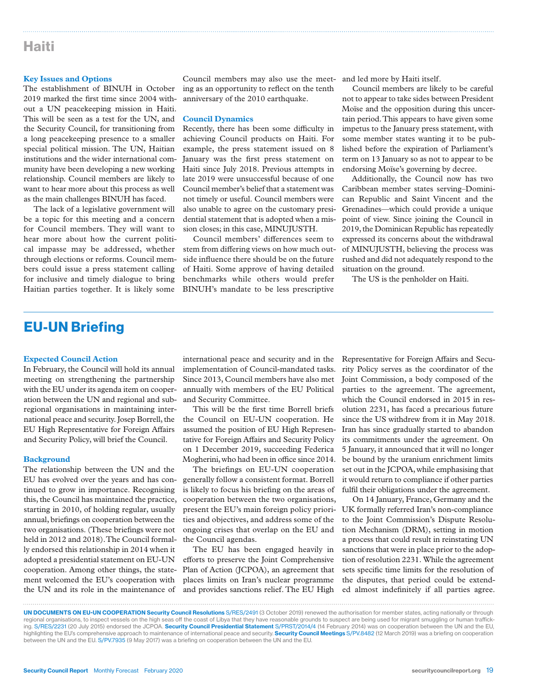### Haiti

#### **Key Issues and Options**

The establishment of BINUH in October 2019 marked the first time since 2004 without a UN peacekeeping mission in Haiti. This will be seen as a test for the UN, and the Security Council, for transitioning from a long peacekeeping presence to a smaller special political mission. The UN, Haitian institutions and the wider international community have been developing a new working relationship. Council members are likely to want to hear more about this process as well as the main challenges BINUH has faced.

The lack of a legislative government will be a topic for this meeting and a concern for Council members. They will want to hear more about how the current political impasse may be addressed, whether through elections or reforms. Council members could issue a press statement calling for inclusive and timely dialogue to bring Haitian parties together. It is likely some

Council members may also use the meet-and led more by Haiti itself. ing as an opportunity to reflect on the tenth anniversary of the 2010 earthquake.

#### **Council Dynamics**

Recently, there has been some difficulty in achieving Council products on Haiti. For example, the press statement issued on 8 January was the first press statement on Haiti since July 2018. Previous attempts in late 2019 were unsuccessful because of one Council member's belief that a statement was not timely or useful. Council members were also unable to agree on the customary presidential statement that is adopted when a mission closes; in this case, MINUJUSTH.

Council members' differences seem to stem from differing views on how much outside influence there should be on the future of Haiti. Some approve of having detailed benchmarks while others would prefer BINUH's mandate to be less prescriptive

Council members are likely to be careful not to appear to take sides between President Moïse and the opposition during this uncertain period. This appears to have given some impetus to the January press statement, with some member states wanting it to be published before the expiration of Parliament's term on 13 January so as not to appear to be endorsing Moïse's governing by decree.

Additionally, the Council now has two Caribbean member states serving–Dominican Republic and Saint Vincent and the Grenadines—which could provide a unique point of view. Since joining the Council in 2019, the Dominican Republic has repeatedly expressed its concerns about the withdrawal of MINUJUSTH, believing the process was rushed and did not adequately respond to the situation on the ground.

The US is the penholder on Haiti.

### EU-UN Briefing

#### **Expected Council Action**

In February, the Council will hold its annual meeting on strengthening the partnership with the EU under its agenda item on cooperation between the UN and regional and subregional organisations in maintaining international peace and security. Josep Borrell, the EU High Representative for Foreign Affairs and Security Policy, will brief the Council.

#### **Background**

The relationship between the UN and the EU has evolved over the years and has continued to grow in importance. Recognising this, the Council has maintained the practice, starting in 2010, of holding regular, usually annual, briefings on cooperation between the two organisations. (These briefings were not held in 2012 and 2018). The Council formally endorsed this relationship in 2014 when it adopted a presidential statement on EU-UN cooperation. Among other things, the statement welcomed the EU's cooperation with the UN and its role in the maintenance of

international peace and security and in the implementation of Council-mandated tasks. Since 2013, Council members have also met annually with members of the EU Political and Security Committee.

This will be the first time Borrell briefs the Council on EU-UN cooperation. He assumed the position of EU High Representative for Foreign Affairs and Security Policy on 1 December 2019, succeeding Federica Mogherini, who had been in office since 2014.

The briefings on EU-UN cooperation generally follow a consistent format. Borrell is likely to focus his briefing on the areas of cooperation between the two organisations, present the EU's main foreign policy priorities and objectives, and address some of the ongoing crises that overlap on the EU and the Council agendas.

The EU has been engaged heavily in efforts to preserve the Joint Comprehensive Plan of Action (JCPOA), an agreement that places limits on Iran's nuclear programme and provides sanctions relief. The EU High

Representative for Foreign Affairs and Security Policy serves as the coordinator of the Joint Commission, a body composed of the parties to the agreement. The agreement, which the Council endorsed in 2015 in resolution 2231, has faced a precarious future since the US withdrew from it in May 2018. Iran has since gradually started to abandon its commitments under the agreement. On 5 January, it announced that it will no longer be bound by the uranium enrichment limits set out in the JCPOA, while emphasising that it would return to compliance if other parties fulfil their obligations under the agreement.

On 14 January, France, Germany and the UK formally referred Iran's non-compliance to the Joint Commission's Dispute Resolution Mechanism (DRM), setting in motion a process that could result in reinstating UN sanctions that were in place prior to the adoption of resolution 2231. While the agreement sets specific time limits for the resolution of the disputes, that period could be extended almost indefinitely if all parties agree.

UN DOCUMENTS ON EU-UN COOPERATION Security Council Resolutions S/RES/2491 (3 October 2019) renewed the authorisation for member states, acting nationally or through regional organisations, to inspect vessels on the high seas off the coast of Libya that they have reasonable grounds to suspect are being used for migrant smuggling or human trafficking. S/RES/2231 (20 July 2015) endorsed the JCPOA. Security Council Presidential Statement S/PRST/2014/4 (14 February 2014) was on cooperation between the UN and the EU, highlighting the EU's comprehensive approach to maintenance of international peace and security. Security Council Meetings S/PV.8482 (12 March 2019) was a briefing on cooperation between the UN and the EU. S/PV.7935 (9 May 2017) was a briefing on cooperation between the UN and the EU.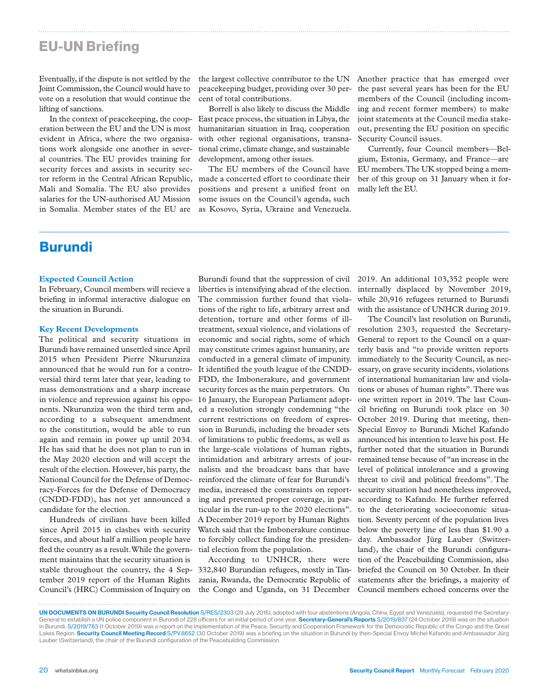### EU-UN Briefing

Eventually, if the dispute is not settled by the Joint Commission, the Council would have to vote on a resolution that would continue the lifting of sanctions.

In the context of peacekeeping, the cooperation between the EU and the UN is most evident in Africa, where the two organisations work alongside one another in several countries. The EU provides training for security forces and assists in security sector reform in the Central African Republic, Mali and Somalia. The EU also provides salaries for the UN-authorised AU Mission in Somalia. Member states of the EU are

the largest collective contributor to the UN Another practice that has emerged over peacekeeping budget, providing over 30 percent of total contributions.

Borrell is also likely to discuss the Middle East peace process, the situation in Libya, the humanitarian situation in Iraq, cooperation with other regional organisations, transnational crime, climate change, and sustainable development, among other issues.

The EU members of the Council have made a concerted effort to coordinate their positions and present a unified front on some issues on the Council's agenda, such as Kosovo, Syria, Ukraine and Venezuela.

the past several years has been for the EU members of the Council (including incoming and recent former members) to make joint statements at the Council media stakeout, presenting the EU position on specific Security Council issues.

Currently, four Council members—Belgium, Estonia, Germany, and France—are EU members. The UK stopped being a member of this group on 31 January when it formally left the EU.

### Burundi

#### **Expected Council Action**

In February, Council members will recieve a briefing in informal interactive dialogue on the situation in Burundi.

#### **Key Recent Developments**

The political and security situations in Burundi have remained unsettled since April 2015 when President Pierre Nkurunziza announced that he would run for a controversial third term later that year, leading to mass demonstrations and a sharp increase in violence and repression against his opponents. Nkurunziza won the third term and, according to a subsequent amendment to the constitution, would be able to run again and remain in power up until 2034. He has said that he does not plan to run in the May 2020 election and will accept the result of the election. However, his party, the National Council for the Defense of Democracy-Forces for the Defense of Democracy (CNDD-FDD), has not yet announced a candidate for the election.

Hundreds of civilians have been killed since April 2015 in clashes with security forces, and about half a million people have fled the country as a result. While the government maintains that the security situation is stable throughout the country, the 4 September 2019 report of the Human Rights Council's (HRC) Commission of Inquiry on

Burundi found that the suppression of civil liberties is intensifying ahead of the election. The commission further found that violations of the right to life, arbitrary arrest and detention, torture and other forms of illtreatment, sexual violence, and violations of economic and social rights, some of which may constitute crimes against humanity, are conducted in a general climate of impunity. It identified the youth league of the CNDD-FDD, the Imbonerakure, and government security forces as the main perpetrators. On 16 January, the European Parliament adopted a resolution strongly condemning "the current restrictions on freedom of expression in Burundi, including the broader sets of limitations to public freedoms, as well as the large-scale violations of human rights, intimidation and arbitrary arrests of journalists and the broadcast bans that have reinforced the climate of fear for Burundi's media, increased the constraints on reporting and prevented proper coverage, in particular in the run-up to the 2020 elections". A December 2019 report by Human Rights Watch said that the Imbonerakure continue to forcibly collect funding for the presidential election from the population.

According to UNHCR, there were 332,840 Burundian refugees, mostly in Tanzania, Rwanda, the Democratic Republic of the Congo and Uganda, on 31 December

2019. An additional 103,352 people were internally displaced by November 2019, while 20,916 refugees returned to Burundi with the assistance of UNHCR during 2019.

The Council's last resolution on Burundi, resolution 2303, requested the Secretary-General to report to the Council on a quarterly basis and "to provide written reports immediately to the Security Council, as necessary, on grave security incidents, violations of international humanitarian law and violations or abuses of human rights". There was one written report in 2019. The last Council briefing on Burundi took place on 30 October 2019. During that meeting, then-Special Envoy to Burundi Michel Kafando announced his intention to leave his post. He further noted that the situation in Burundi remained tense because of "an increase in the level of political intolerance and a growing threat to civil and political freedoms". The security situation had nonetheless improved, according to Kafando. He further referred to the deteriorating socioeconomic situation. Seventy percent of the population lives below the poverty line of less than \$1.90 a day. Ambassador Jürg Lauber (Switzerland), the chair of the Burundi configuration of the Peacebuilding Commission, also briefed the Council on 30 October. In their statements after the briefings, a majority of Council members echoed concerns over the

UN DOCUMENTS ON BURUNDI Security Council Resolution S/RES/2303 (29 July 2016), adopted with four abstentions (Angola, China, Egypt and Venezuela), requested the Secretary-General to establish a UN police component in Burundi of 228 officers for an initial period of one year. Secretary-General's Reports S/2019/837 (24 October 2019) was on the situation in Burundi. S/2019/783 (1 October 2019) was a report on the implementation of the Peace, Security and Cooperation Framework for the Democratic Republic of the Congo and the Great Lakes Region. Security Council Meeting Record S/PV.8652 (30 October 2019) was a briefing on the situation in Burundi by then-Special Envoy Michel Kafando and Ambassador Jürg Lauber (Switzerland), the chair of the Burundi configuration of the Peacebuilding Commission.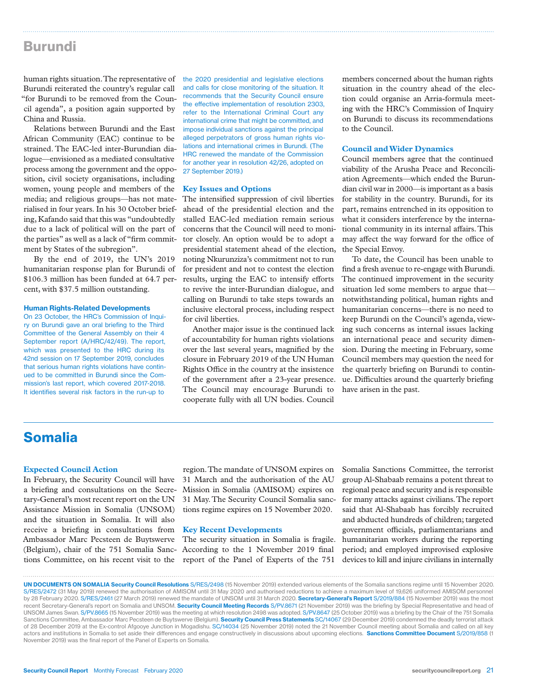### Burundi

human rights situation. The representative of Burundi reiterated the country's regular call "for Burundi to be removed from the Council agenda", a position again supported by China and Russia.

Relations between Burundi and the East African Community (EAC) continue to be strained. The EAC-led inter-Burundian dialogue—envisioned as a mediated consultative process among the government and the opposition, civil society organisations, including women, young people and members of the media; and religious groups—has not materialised in four years. In his 30 October briefing, Kafando said that this was "undoubtedly due to a lack of political will on the part of the parties" as well as a lack of "firm commitment by States of the subregion".

By the end of 2019, the UN's 2019 humanitarian response plan for Burundi of \$106.3 million has been funded at 64.7 percent, with \$37.5 million outstanding.

#### Human Rights-Related Developments

On 23 October, the HRC's Commission of Inquiry on Burundi gave an oral briefing to the Third Committee of the General Assembly on their 4 September report (A/HRC/42/49). The report, which was presented to the HRC during its 42nd session on 17 September 2019, concludes that serious human rights violations have continued to be committed in Burundi since the Commission's last report, which covered 2017-2018. It identifies several risk factors in the run-up to

the 2020 presidential and legislative elections and calls for close monitoring of the situation. It recommends that the Security Council ensure the effective implementation of resolution 2303, refer to the International Criminal Court any international crime that might be committed, and impose individual sanctions against the principal alleged perpetrators of gross human rights violations and international crimes in Burundi. (The HRC renewed the mandate of the Commission for another year in resolution 42/26, adopted on 27 September 2019.)

#### **Key Issues and Options**

The intensified suppression of civil liberties ahead of the presidential election and the stalled EAC-led mediation remain serious concerns that the Council will need to monitor closely. An option would be to adopt a presidential statement ahead of the election, noting Nkurunziza's commitment not to run for president and not to contest the election results, urging the EAC to intensify efforts to revive the inter-Burundian dialogue, and calling on Burundi to take steps towards an inclusive electoral process, including respect for civil liberties.

Another major issue is the continued lack of accountability for human rights violations over the last several years, magnified by the closure in February 2019 of the UN Human Rights Office in the country at the insistence of the government after a 23-year presence. The Council may encourage Burundi to cooperate fully with all UN bodies. Council

members concerned about the human rights situation in the country ahead of the election could organise an Arria-formula meeting with the HRC's Commission of Inquiry on Burundi to discuss its recommendations to the Council.

#### **Council and Wider Dynamics**

Council members agree that the continued viability of the Arusha Peace and Reconciliation Agreements—which ended the Burundian civil war in 2000—is important as a basis for stability in the country. Burundi, for its part, remains entrenched in its opposition to what it considers interference by the international community in its internal affairs. This may affect the way forward for the office of the Special Envoy.

To date, the Council has been unable to find a fresh avenue to re-engage with Burundi. The continued improvement in the security situation led some members to argue that notwithstanding political, human rights and humanitarian concerns—there is no need to keep Burundi on the Council's agenda, viewing such concerns as internal issues lacking an international peace and security dimension. During the meeting in February, some Council members may question the need for the quarterly briefing on Burundi to continue. Difficulties around the quarterly briefing have arisen in the past.

### Somalia

#### **Expected Council Action**

In February, the Security Council will have a briefing and consultations on the Secretary-General's most recent report on the UN Assistance Mission in Somalia (UNSOM) and the situation in Somalia. It will also receive a briefing in consultations from Ambassador Marc Pecsteen de Buytswerve (Belgium), chair of the 751 Somalia Sanc-According to the 1 November 2019 final tions Committee, on his recent visit to the

region. The mandate of UNSOM expires on 31 March and the authorisation of the AU Mission in Somalia (AMISOM) expires on 31 May. The Security Council Somalia sanctions regime expires on 15 November 2020.

#### **Key Recent Developments**

The security situation in Somalia is fragile. report of the Panel of Experts of the 751

Somalia Sanctions Committee, the terrorist group Al-Shabaab remains a potent threat to regional peace and security and is responsible for many attacks against civilians. The report said that Al-Shabaab has forcibly recruited and abducted hundreds of children; targeted government officials, parliamentarians and humanitarian workers during the reporting period; and employed improvised explosive devices to kill and injure civilians in internally

UN DOCUMENTS ON SOMALIA Security Council Resolutions S/RES/2498 (15 November 2019) extended various elements of the Somalia sanctions regime until 15 November 2020. S/RES/2472 (31 May 2019) renewed the authorisation of AMISOM until 31 May 2020 and authorised reductions to achieve a maximum level of 19,626 uniformed AMISOM personnel by 28 February 2020. S/RES/2461 (27 March 2019) renewed the mandate of UNSOM until 31 March 2020. Secretary-General's Report S/2019/884 (15 November 2019) was the most recent Secretary-General's report on Somalia and UNSOM. Security Council Meeting Records S/PV.8671 (21 November 2019) was the briefing by Special Representative and head of UNSOM James Swan. S/PV.8665 (15 November 2019) was the meeting at which resolution 2498 was adopted. S/PV.8647 (25 October 2019) was a briefing by the Chair of the 751 Somalia Sanctions Committee, Ambassador Marc Pecsteen de Buytswerve (Belgium). Security Council Press Statements SC/14067 (29 December 2019) condemned the deadly terrorist attack of 28 December 2019 at the Ex-control Afgooye Junction in Mogadishu. SC/14034 (25 November 2019) noted the 21 November Council meeting about Somalia and called on all key actors and institutions in Somalia to set aside their differences and engage constructively in discussions about upcoming elections. Sanctions Committee Document S/2019/858 (1 November 2019) was the final report of the Panel of Experts on Somalia.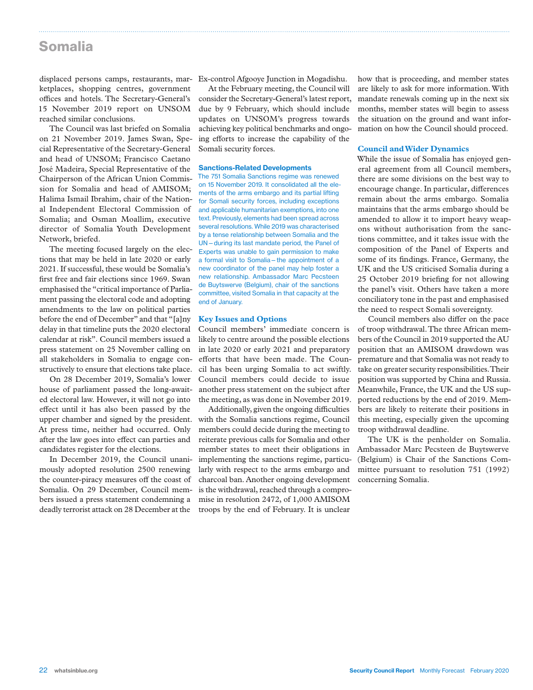### Somalia

displaced persons camps, restaurants, marketplaces, shopping centres, government offices and hotels. The Secretary-General's 15 November 2019 report on UNSOM reached similar conclusions.

The Council was last briefed on Somalia on 21 November 2019. James Swan, Special Representative of the Secretary-General and head of UNSOM; Francisco Caetano José Madeira, Special Representative of the Chairperson of the African Union Commission for Somalia and head of AMISOM; Halima Ismail Ibrahim, chair of the National Independent Electoral Commission of Somalia; and Osman Moallim, executive director of Somalia Youth Development Network, briefed.

The meeting focused largely on the elections that may be held in late 2020 or early 2021. If successful, these would be Somalia's first free and fair elections since 1969. Swan emphasised the "critical importance of Parliament passing the electoral code and adopting amendments to the law on political parties before the end of December" and that "[a]ny delay in that timeline puts the 2020 electoral calendar at risk". Council members issued a press statement on 25 November calling on all stakeholders in Somalia to engage constructively to ensure that elections take place.

On 28 December 2019, Somalia's lower house of parliament passed the long-awaited electoral law. However, it will not go into effect until it has also been passed by the upper chamber and signed by the president. At press time, neither had occurred. Only after the law goes into effect can parties and candidates register for the elections.

In December 2019, the Council unanimously adopted resolution 2500 renewing the counter-piracy measures off the coast of Somalia. On 29 December, Council members issued a press statement condemning a deadly terrorist attack on 28 December at the

Ex-control Afgooye Junction in Mogadishu.

At the February meeting, the Council will consider the Secretary-General's latest report, due by 9 February, which should include updates on UNSOM's progress towards achieving key political benchmarks and ongoing efforts to increase the capability of the Somali security forces.

#### Sanctions-Related Developments

The 751 Somalia Sanctions regime was renewed on 15 November 2019. It consolidated all the elements of the arms embargo and its partial lifting for Somali security forces, including exceptions and applicable humanitarian exemptions, into one text. Previously, elements had been spread across several resolutions. While 2019 was characterised by a tense relationship between Somalia and the UN—during its last mandate period, the Panel of Experts was unable to gain permission to make a formal visit to Somalia—the appointment of a new coordinator of the panel may help foster a new relationship. Ambassador Marc Pecsteen de Buytswerve (Belgium), chair of the sanctions committee, visited Somalia in that capacity at the end of January.

#### **Key Issues and Options**

Council members' immediate concern is likely to centre around the possible elections in late 2020 or early 2021 and preparatory efforts that have been made. The Council has been urging Somalia to act swiftly. Council members could decide to issue another press statement on the subject after the meeting, as was done in November 2019.

Additionally, given the ongoing difficulties with the Somalia sanctions regime, Council members could decide during the meeting to reiterate previous calls for Somalia and other member states to meet their obligations in implementing the sanctions regime, particularly with respect to the arms embargo and charcoal ban. Another ongoing development is the withdrawal, reached through a compromise in resolution 2472, of 1,000 AMISOM troops by the end of February. It is unclear

how that is proceeding, and member states are likely to ask for more information. With mandate renewals coming up in the next six months, member states will begin to assess the situation on the ground and want information on how the Council should proceed.

#### **Council and Wider Dynamics**

While the issue of Somalia has enjoyed general agreement from all Council members, there are some divisions on the best way to encourage change. In particular, differences remain about the arms embargo. Somalia maintains that the arms embargo should be amended to allow it to import heavy weapons without authorisation from the sanctions committee, and it takes issue with the composition of the Panel of Experts and some of its findings. France, Germany, the UK and the US criticised Somalia during a 25 October 2019 briefing for not allowing the panel's visit. Others have taken a more conciliatory tone in the past and emphasised the need to respect Somali sovereignty.

Council members also differ on the pace of troop withdrawal. The three African members of the Council in 2019 supported the AU position that an AMISOM drawdown was premature and that Somalia was not ready to take on greater security responsibilities. Their position was supported by China and Russia. Meanwhile, France, the UK and the US supported reductions by the end of 2019. Members are likely to reiterate their positions in this meeting, especially given the upcoming troop withdrawal deadline.

The UK is the penholder on Somalia. Ambassador Marc Pecsteen de Buytswerve (Belgium) is Chair of the Sanctions Committee pursuant to resolution 751 (1992) concerning Somalia.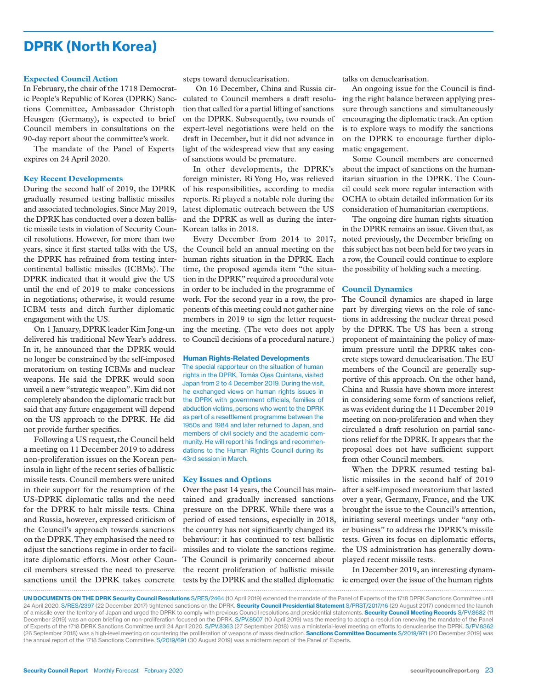### DPRK (North Korea)

#### **Expected Council Action**

In February, the chair of the 1718 Democratic People's Republic of Korea (DPRK) Sanctions Committee, Ambassador Christoph Heusgen (Germany), is expected to brief Council members in consultations on the 90-day report about the committee's work.

The mandate of the Panel of Experts expires on 24 April 2020.

#### **Key Recent Developments**

During the second half of 2019, the DPRK gradually resumed testing ballistic missiles and associated technologies. Since May 2019, the DPRK has conducted over a dozen ballistic missile tests in violation of Security Council resolutions. However, for more than two years, since it first started talks with the US, the DPRK has refrained from testing intercontinental ballistic missiles (ICBMs). The DPRK indicated that it would give the US until the end of 2019 to make concessions in negotiations; otherwise, it would resume ICBM tests and ditch further diplomatic engagement with the US.

On 1 January, DPRK leader Kim Jong-un delivered his traditional New Year's address. In it, he announced that the DPRK would no longer be constrained by the self-imposed moratorium on testing ICBMs and nuclear weapons. He said the DPRK would soon unveil a new "strategic weapon". Kim did not completely abandon the diplomatic track but said that any future engagement will depend on the US approach to the DPRK. He did not provide further specifics.

Following a US request, the Council held a meeting on 11 December 2019 to address non-proliferation issues on the Korean peninsula in light of the recent series of ballistic missile tests. Council members were united in their support for the resumption of the US-DPRK diplomatic talks and the need for the DPRK to halt missile tests. China and Russia, however, expressed criticism of the Council's approach towards sanctions on the DPRK. They emphasised the need to adjust the sanctions regime in order to facilitate diplomatic efforts. Most other Council members stressed the need to preserve sanctions until the DPRK takes concrete

steps toward denuclearisation.

 On 16 December, China and Russia circulated to Council members a draft resolution that called for a partial lifting of sanctions on the DPRK. Subsequently, two rounds of expert-level negotiations were held on the draft in December, but it did not advance in light of the widespread view that any easing of sanctions would be premature.

In other developments, the DPRK's foreign minister, Ri Yong Ho, was relieved of his responsibilities, according to media reports. Ri played a notable role during the latest diplomatic outreach between the US and the DPRK as well as during the inter-Korean talks in 2018.

Every December from 2014 to 2017, the Council held an annual meeting on the human rights situation in the DPRK. Each time, the proposed agenda item "the situation in the DPRK" required a procedural vote in order to be included in the programme of work. For the second year in a row, the proponents of this meeting could not gather nine members in 2019 to sign the letter requesting the meeting. (The veto does not apply to Council decisions of a procedural nature.)

#### Human Rights-Related Developments

The special rapporteur on the situation of human rights in the DPRK, Tomás Ojea Quintana, visited Japan from 2 to 4 December 2019. During the visit, he exchanged views on human rights issues in the DPRK with government officials, families of abduction victims, persons who went to the DPRK as part of a resettlement programme between the 1950s and 1984 and later returned to Japan, and members of civil society and the academic community. He will report his findings and recommendations to the Human Rights Council during its 43rd session in March.

#### **Key Issues and Options**

Over the past 14 years, the Council has maintained and gradually increased sanctions pressure on the DPRK. While there was a period of eased tensions, especially in 2018, the country has not significantly changed its behaviour: it has continued to test ballistic missiles and to violate the sanctions regime. The Council is primarily concerned about the recent proliferation of ballistic missile tests by the DPRK and the stalled diplomatic

talks on denuclearisation.

An ongoing issue for the Council is finding the right balance between applying pressure through sanctions and simultaneously encouraging the diplomatic track. An option is to explore ways to modify the sanctions on the DPRK to encourage further diplomatic engagement.

Some Council members are concerned about the impact of sanctions on the humanitarian situation in the DPRK. The Council could seek more regular interaction with OCHA to obtain detailed information for its consideration of humanitarian exemptions.

The ongoing dire human rights situation in the DPRK remains an issue. Given that, as noted previously, the December briefing on this subject has not been held for two years in a row, the Council could continue to explore the possibility of holding such a meeting.

#### **Council Dynamics**

The Council dynamics are shaped in large part by diverging views on the role of sanctions in addressing the nuclear threat posed by the DPRK. The US has been a strong proponent of maintaining the policy of maximum pressure until the DPRK takes concrete steps toward denuclearisation. The EU members of the Council are generally supportive of this approach. On the other hand, China and Russia have shown more interest in considering some form of sanctions relief, as was evident during the 11 December 2019 meeting on non-proliferation and when they circulated a draft resolution on partial sanctions relief for the DPRK. It appears that the proposal does not have sufficient support from other Council members.

When the DPRK resumed testing ballistic missiles in the second half of 2019 after a self-imposed moratorium that lasted over a year, Germany, France, and the UK brought the issue to the Council's attention, initiating several meetings under "any other business" to address the DPRK's missile tests. Given its focus on diplomatic efforts, the US administration has generally downplayed recent missile tests.

In December 2019, an interesting dynamic emerged over the issue of the human rights

UN DOCUMENTS ON THE DPRK Security Council Resolutions S/RES/2464 (10 April 2019) extended the mandate of the Panel of Experts of the 1718 DPRK Sanctions Committee until 24 April 2020. S/RES/2397 (22 December 2017) tightened sanctions on the DPRK. Security Council Presidential Statement S/PRST/2017/16 (29 August 2017) condemned the launch of a missile over the territory of Japan and urged the DPRK to comply with previous Council resolutions and presidential statements. Security Council Meeting Records S/PV.8682 (11 December 2019) was an open briefing on non-proliferation focused on the DPRK. S/PV.8507 (10 April 2019) was the meeting to adopt a resolution renewing the mandate of the Panel of Experts of the 1718 DPRK Sanctions Committee until 24 April 2020. S/PV.8363 (27 September 2018) was a ministerial-level meeting on efforts to denuclearise the DPRK. S/PV.8362 (26 September 2018) was a high-level meeting on countering the proliferation of weapons of mass destruction. Sanctions Committee Documents S/2019/971 (20 December 2019) was the annual report of the 1718 Sanctions Committee. S/2019/691 (30 August 2019) was a midterm report of the Panel of Experts.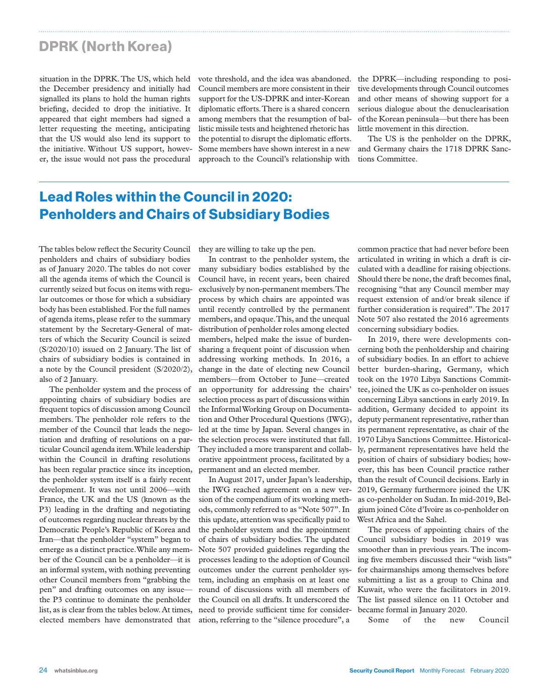### DPRK (North Korea)

situation in the DPRK. The US, which held the December presidency and initially had signalled its plans to hold the human rights briefing, decided to drop the initiative. It appeared that eight members had signed a letter requesting the meeting, anticipating that the US would also lend its support to the initiative. Without US support, however, the issue would not pass the procedural

vote threshold, and the idea was abandoned. Council members are more consistent in their support for the US-DPRK and inter-Korean diplomatic efforts. There is a shared concern among members that the resumption of ballistic missile tests and heightened rhetoric has the potential to disrupt the diplomatic efforts. Some members have shown interest in a new approach to the Council's relationship with

the DPRK—including responding to positive developments through Council outcomes and other means of showing support for a serious dialogue about the denuclearisation of the Korean peninsula—but there has been little movement in this direction.

The US is the penholder on the DPRK, and Germany chairs the 1718 DPRK Sanctions Committee.

## Lead Roles within the Council in 2020: Penholders and Chairs of Subsidiary Bodies

The tables below reflect the Security Council penholders and chairs of subsidiary bodies as of January 2020. The tables do not cover all the agenda items of which the Council is currently seized but focus on items with regular outcomes or those for which a subsidiary body has been established. For the full names of agenda items, please refer to the summary statement by the Secretary-General of matters of which the Security Council is seized (S/2020/10) issued on 2 January. The list of chairs of subsidiary bodies is contained in a note by the Council president (S/2020/2), also of 2 January.

The penholder system and the process of appointing chairs of subsidiary bodies are frequent topics of discussion among Council members. The penholder role refers to the member of the Council that leads the negotiation and drafting of resolutions on a particular Council agenda item. While leadership within the Council in drafting resolutions has been regular practice since its inception, the penholder system itself is a fairly recent development. It was not until 2006—with France, the UK and the US (known as the P3) leading in the drafting and negotiating of outcomes regarding nuclear threats by the Democratic People's Republic of Korea and Iran—that the penholder "system" began to emerge as a distinct practice. While any member of the Council can be a penholder—it is an informal system, with nothing preventing other Council members from "grabbing the pen" and drafting outcomes on any issue the P3 continue to dominate the penholder list, as is clear from the tables below. At times, elected members have demonstrated that

they are willing to take up the pen.

In contrast to the penholder system, the many subsidiary bodies established by the Council have, in recent years, been chaired exclusively by non-permanent members. The process by which chairs are appointed was until recently controlled by the permanent members, and opaque. This, and the unequal distribution of penholder roles among elected members, helped make the issue of burdensharing a frequent point of discussion when addressing working methods. In 2016, a change in the date of electing new Council members—from October to June—created an opportunity for addressing the chairs' selection process as part of discussions within the Informal Working Group on Documentation and Other Procedural Questions (IWG), led at the time by Japan. Several changes in the selection process were instituted that fall. They included a more transparent and collaborative appointment process, facilitated by a permanent and an elected member.

In August 2017, under Japan's leadership, the IWG reached agreement on a new version of the compendium of its working methods, commonly referred to as "Note 507". In this update, attention was specifically paid to the penholder system and the appointment of chairs of subsidiary bodies. The updated Note 507 provided guidelines regarding the processes leading to the adoption of Council outcomes under the current penholder system, including an emphasis on at least one round of discussions with all members of the Council on all drafts. It underscored the need to provide sufficient time for consideration, referring to the "silence procedure", a

common practice that had never before been articulated in writing in which a draft is circulated with a deadline for raising objections. Should there be none, the draft becomes final, recognising "that any Council member may request extension of and/or break silence if further consideration is required". The 2017 Note 507 also restated the 2016 agreements concerning subsidiary bodies.

In 2019, there were developments concerning both the penholdership and chairing of subsidiary bodies. In an effort to achieve better burden-sharing, Germany, which took on the 1970 Libya Sanctions Committee, joined the UK as co-penholder on issues concerning Libya sanctions in early 2019. In addition, Germany decided to appoint its deputy permanent representative, rather than its permanent representative, as chair of the 1970 Libya Sanctions Committee. Historically, permanent representatives have held the position of chairs of subsidiary bodies; however, this has been Council practice rather than the result of Council decisions. Early in 2019, Germany furthermore joined the UK as co-penholder on Sudan. In mid-2019, Belgium joined Côte d'Ivoire as co-penholder on West Africa and the Sahel.

The process of appointing chairs of the Council subsidiary bodies in 2019 was smoother than in previous years. The incoming five members discussed their "wish lists" for chairmanships among themselves before submitting a list as a group to China and Kuwait, who were the facilitators in 2019. The list passed silence on 11 October and became formal in January 2020.

Some of the new Council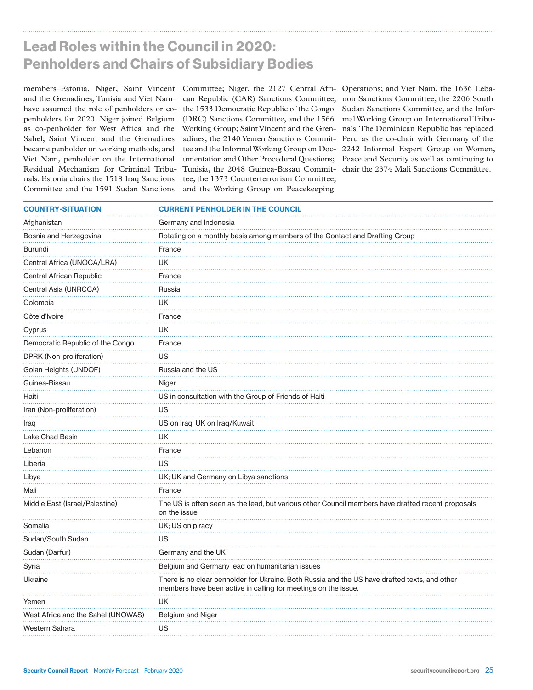### Lead Roles within the Council in 2020: Penholders and Chairs of Subsidiary Bodies

members–Estonia, Niger, Saint Vincent Committee; Niger, the 2127 Central Afri-Operations; and Viet Nam, the 1636 Lebaand the Grenadines, Tunisia and Viet Nam– can Republic (CAR) Sanctions Committee, have assumed the role of penholders or co-the 1533 Democratic Republic of the Congo penholders for 2020. Niger joined Belgium as co-penholder for West Africa and the Sahel; Saint Vincent and the Grenadines became penholder on working methods; and Viet Nam, penholder on the International Residual Mechanism for Criminal Tribunals. Estonia chairs the 1518 Iraq Sanctions Committee and the 1591 Sudan Sanctions

(DRC) Sanctions Committee, and the 1566 Tunisia, the 2048 Guinea-Bissau Commit-chair the 2374 Mali Sanctions Committee. tee, the 1373 Counterterrorism Committee, and the Working Group on Peacekeeping

Working Group; Saint Vincent and the Gren-nals. The Dominican Republic has replaced adines, the 2140 Yemen Sanctions Commit-Peru as the co-chair with Germany of the tee and the Informal Working Group on Doc-2242 Informal Expert Group on Women, umentation and Other Procedural Questions; Peace and Security as well as continuing to non Sanctions Committee, the 2206 South Sudan Sanctions Committee, and the Informal Working Group on International Tribu-

| <b>COUNTRY-SITUATION</b>           | <b>CURRENT PENHOLDER IN THE COUNCIL</b>                                                                                                                         |
|------------------------------------|-----------------------------------------------------------------------------------------------------------------------------------------------------------------|
| Afghanistan                        | Germany and Indonesia                                                                                                                                           |
| Bosnia and Herzegovina             | Rotating on a monthly basis among members of the Contact and Drafting Group                                                                                     |
| Burundi                            | France                                                                                                                                                          |
| Central Africa (UNOCA/LRA)         | UK                                                                                                                                                              |
| Central African Republic           | France                                                                                                                                                          |
| Central Asia (UNRCCA)              | Russia                                                                                                                                                          |
| Colombia                           | UK                                                                                                                                                              |
| Côte d'Ivoire                      | France                                                                                                                                                          |
| Cyprus                             | UK                                                                                                                                                              |
| Democratic Republic of the Congo   | France                                                                                                                                                          |
| DPRK (Non-proliferation)           | US                                                                                                                                                              |
| Golan Heights (UNDOF)              | Russia and the US                                                                                                                                               |
| Guinea-Bissau                      | Niger                                                                                                                                                           |
| Haiti                              | US in consultation with the Group of Friends of Haiti                                                                                                           |
| Iran (Non-proliferation)           | US                                                                                                                                                              |
| Iraq                               | US on Iraq; UK on Iraq/Kuwait                                                                                                                                   |
| Lake Chad Basin                    | UK                                                                                                                                                              |
| Lebanon                            | France                                                                                                                                                          |
| Liberia                            | US                                                                                                                                                              |
| Libya                              | UK; UK and Germany on Libya sanctions                                                                                                                           |
| Mali                               | France                                                                                                                                                          |
| Middle East (Israel/Palestine)     | The US is often seen as the lead, but various other Council members have drafted recent proposals<br>on the issue.                                              |
| Somalia                            | UK; US on piracy                                                                                                                                                |
| Sudan/South Sudan                  | US                                                                                                                                                              |
| Sudan (Darfur)                     | Germany and the UK                                                                                                                                              |
| Syria                              | Belgium and Germany lead on humanitarian issues                                                                                                                 |
| Ukraine                            | There is no clear penholder for Ukraine. Both Russia and the US have drafted texts, and other<br>members have been active in calling for meetings on the issue. |
| Yemen                              | UK                                                                                                                                                              |
| West Africa and the Sahel (UNOWAS) | <b>Belgium and Niger</b>                                                                                                                                        |
| Western Sahara                     | US                                                                                                                                                              |
|                                    |                                                                                                                                                                 |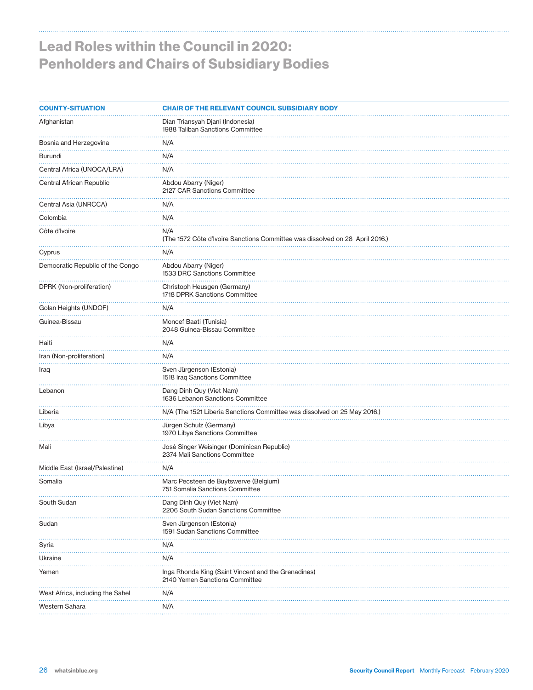# Lead Roles within the Council in 2020: Penholders and Chairs of Subsidiary Bodies

| <b>COUNTY-SITUATION</b>          | <b>CHAIR OF THE RELEVANT COUNCIL SUBSIDIARY BODY</b>                                  |
|----------------------------------|---------------------------------------------------------------------------------------|
| Afghanistan                      | Dian Triansyah Djani (Indonesia)<br>1988 Taliban Sanctions Committee                  |
| Bosnia and Herzegovina           | N/A                                                                                   |
| Burundi                          | N/A                                                                                   |
| Central Africa (UNOCA/LRA)       | N/A                                                                                   |
| Central African Republic         | Abdou Abarry (Niger)<br>2127 CAR Sanctions Committee                                  |
| Central Asia (UNRCCA)            | N/A                                                                                   |
| Colombia                         | N/A                                                                                   |
| Côte d'Ivoire                    | N/A<br>(The 1572 Côte d'Ivoire Sanctions Committee was dissolved on 28 April 2016.)   |
| Cyprus                           | N/A                                                                                   |
| Democratic Republic of the Congo | Abdou Abarry (Niger)<br>1533 DRC Sanctions Committee                                  |
| DPRK (Non-proliferation)         | Christoph Heusgen (Germany)<br>1718 DPRK Sanctions Committee                          |
| Golan Heights (UNDOF)            | N/A                                                                                   |
| Guinea-Bissau                    | Moncef Baati (Tunisia)<br>2048 Guinea-Bissau Committee                                |
| Haiti                            | N/A                                                                                   |
| Iran (Non-proliferation)         | N/A                                                                                   |
| Iraq                             | Sven Jürgenson (Estonia)<br>1518 Iraq Sanctions Committee                             |
| Lebanon                          | Dang Dinh Quy (Viet Nam)<br>1636 Lebanon Sanctions Committee                          |
| Liberia                          | N/A (The 1521 Liberia Sanctions Committee was dissolved on 25 May 2016.)              |
| Libya                            | Jürgen Schulz (Germany)<br>1970 Libya Sanctions Committee                             |
| Mali                             | José Singer Weisinger (Dominican Republic)<br>2374 Mali Sanctions Committee           |
| Middle East (Israel/Palestine)   | N/A                                                                                   |
| Somalia                          | Marc Pecsteen de Buytswerve (Belgium)<br>751 Somalia Sanctions Committee              |
| South Sudan                      | Dang Dinh Quy (Viet Nam)<br>2206 South Sudan Sanctions Committee                      |
| Sudan                            | Sven Jürgenson (Estonia)<br>1591 Sudan Sanctions Committee                            |
| Syria                            | N/A                                                                                   |
| Ukraine                          | N/A                                                                                   |
| Yemen                            | Inga Rhonda King (Saint Vincent and the Grenadines)<br>2140 Yemen Sanctions Committee |
| West Africa, including the Sahel | N/A                                                                                   |
| Western Sahara                   | N/A<br>.                                                                              |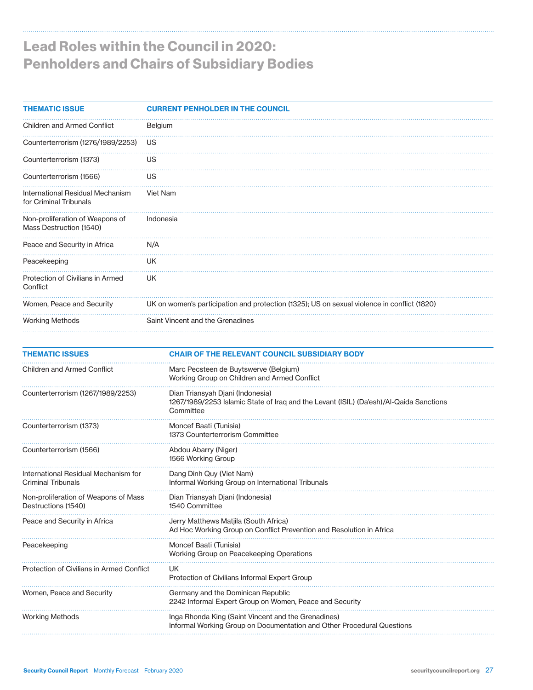# Lead Roles within the Council in 2020: Penholders and Chairs of Subsidiary Bodies

| <b>THEMATIC ISSUE</b>                                      | <b>CURRENT PENHOLDER IN THE COUNCIL</b>                                                     |
|------------------------------------------------------------|---------------------------------------------------------------------------------------------|
| <b>Children and Armed Conflict</b>                         | Belgium                                                                                     |
| Counterterrorism (1276/1989/2253)                          | US                                                                                          |
| Counterterrorism (1373)                                    | US                                                                                          |
| Counterterrorism (1566)                                    | US                                                                                          |
| International Residual Mechanism<br>for Criminal Tribunals | Viet Nam                                                                                    |
| Non-proliferation of Weapons of<br>Mass Destruction (1540) | Indonesia                                                                                   |
| Peace and Security in Africa                               | N/A                                                                                         |
| Peacekeeping                                               | UK                                                                                          |
| Protection of Civilians in Armed<br>Conflict               | UK                                                                                          |
| Women, Peace and Security                                  | UK on women's participation and protection (1325); US on sexual violence in conflict (1820) |
| <b>Working Methods</b>                                     | Saint Vincent and the Grenadines                                                            |

| <b>THEMATIC ISSUES</b>                                            | <b>CHAIR OF THE RELEVANT COUNCIL SUBSIDIARY BODY</b>                                                                                    |
|-------------------------------------------------------------------|-----------------------------------------------------------------------------------------------------------------------------------------|
| <b>Children and Armed Conflict</b>                                | Marc Pecsteen de Buytswerve (Belgium)<br>Working Group on Children and Armed Conflict                                                   |
| Counterterrorism (1267/1989/2253)                                 | Dian Triansyah Djani (Indonesia)<br>1267/1989/2253 Islamic State of Iraq and the Levant (ISIL) (Da'esh)/Al-Qaida Sanctions<br>Committee |
| Counterterrorism (1373)                                           | Moncef Baati (Tunisia)<br>1373 Counterterrorism Committee                                                                               |
| Counterterrorism (1566)                                           | Abdou Abarry (Niger)<br>1566 Working Group                                                                                              |
| International Residual Mechanism for<br><b>Criminal Tribunals</b> | Dang Dinh Quy (Viet Nam)<br>Informal Working Group on International Tribunals                                                           |
| Non-proliferation of Weapons of Mass<br>Destructions (1540)       | Dian Triansyah Djani (Indonesia)<br>1540 Committee                                                                                      |
| Peace and Security in Africa                                      | Jerry Matthews Matjila (South Africa)<br>Ad Hoc Working Group on Conflict Prevention and Resolution in Africa                           |
| Peacekeeping                                                      | Moncef Baati (Tunisia)<br>Working Group on Peacekeeping Operations                                                                      |
| Protection of Civilians in Armed Conflict                         | UK.<br>Protection of Civilians Informal Expert Group                                                                                    |
| Women, Peace and Security                                         | Germany and the Dominican Republic<br>2242 Informal Expert Group on Women, Peace and Security                                           |
| <b>Working Methods</b>                                            | Inga Rhonda King (Saint Vincent and the Grenadines)<br>Informal Working Group on Documentation and Other Procedural Questions           |